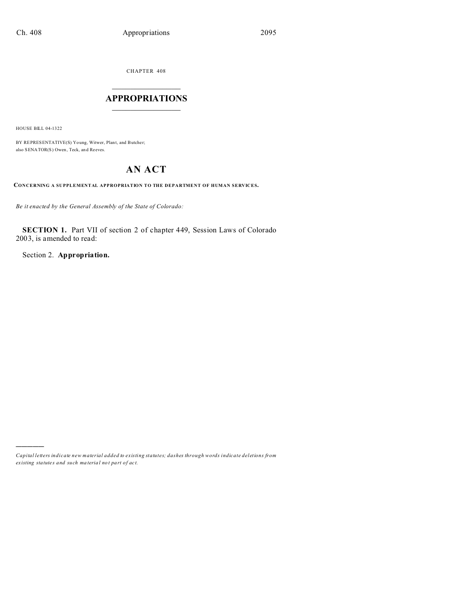CHAPTER 408  $\overline{\phantom{a}}$  , where  $\overline{\phantom{a}}$ 

## **APPROPRIATIONS**  $\_$   $\_$   $\_$   $\_$   $\_$   $\_$   $\_$   $\_$   $\_$

HOUSE BILL 04-1322

)))))

BY REPRESENTATIVE(S) Young, Witwer, Plant, and Butcher; also SENATOR(S) Owen, Teck, an d Reeves.

# **AN ACT**

**CONCERNING A SUPPLEMENTAL APPROPRIATION TO THE DEPARTMENT OF HUMAN SERVICES.**

*Be it enacted by the General Assembly of the State of Colorado:*

**SECTION 1.** Part VII of section 2 of chapter 449, Session Laws of Colorado 2003, is amended to read:

Section 2. **Appropriation.**

*Capital letters indicate new material added to existing statutes; dashes through words indicate deletions from ex isting statute s and such ma teria l no t pa rt of ac t.*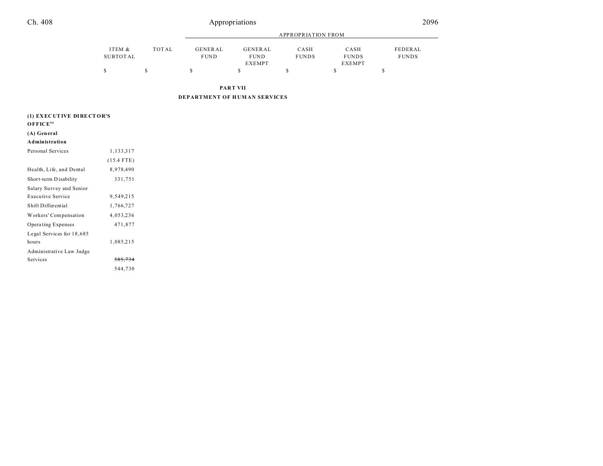# Appropriations

|          |       |             | APPROPRIATION FROM |              |               |              |  |
|----------|-------|-------------|--------------------|--------------|---------------|--------------|--|
| ITEM &   | TOTAL | GENERAL     | GENERAL            | CASH         | CASH          | FEDERAL      |  |
| SUBTOTAL |       | <b>FUND</b> | <b>FUND</b>        | <b>FUNDS</b> | <b>FUNDS</b>  | <b>FUNDS</b> |  |
|          |       |             | <b>EXEMPT</b>      |              | <b>EXEMPT</b> |              |  |
|          |       |             |                    |              |               |              |  |

**PART VII**

**DEPARTMENT OF H UM AN SERVICES**

| (1) EXECUTIVE DIRECTOR'S       |              |  |  |  |  |
|--------------------------------|--------------|--|--|--|--|
| $O$ <b>FFICE</b> <sup>54</sup> |              |  |  |  |  |
| (A) General                    |              |  |  |  |  |
| Administration                 |              |  |  |  |  |
| Personal Services              | 1,133,317    |  |  |  |  |
|                                | $(15.4$ FTE) |  |  |  |  |
| Health, Life, and Dental       | 8,978,490    |  |  |  |  |
| Short-term Disability          | 331,751      |  |  |  |  |
| Salary Survey and Senior       |              |  |  |  |  |
| <b>Executive Service</b>       | 9,549,215    |  |  |  |  |
| Shift Differential             | 1,766,727    |  |  |  |  |
| Workers' Compensation          | 4,053,236    |  |  |  |  |
| Operating Expenses             | 471,877      |  |  |  |  |
| Legal Services for 18,685      |              |  |  |  |  |
| hours                          | 1,085,215    |  |  |  |  |
| Administrative Law Judge       |              |  |  |  |  |
| Services                       | 585.734      |  |  |  |  |
|                                | 544,730      |  |  |  |  |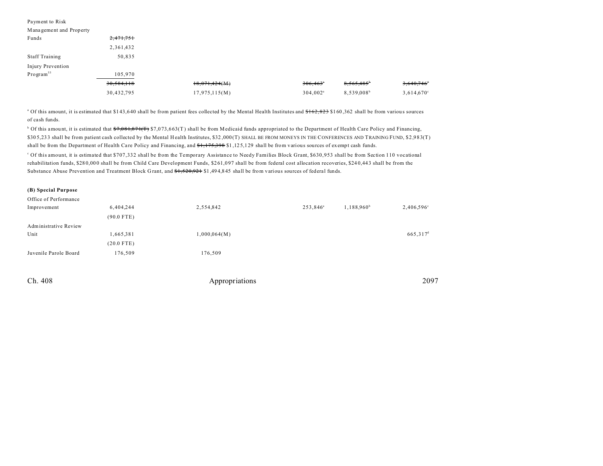| Payment to Risk         |            |               |             |                     |                     |
|-------------------------|------------|---------------|-------------|---------------------|---------------------|
| Management and Property |            |               |             |                     |                     |
| Funds                   | 2,471,751  |               |             |                     |                     |
|                         | 2,361,432  |               |             |                     |                     |
| <b>Staff Training</b>   | 50,835     |               |             |                     |                     |
| Injury Prevention       |            |               |             |                     |                     |
| $Program^{55}$          | 105,970    |               |             |                     |                     |
|                         | 30,584,118 | 18,071,424(M) | 306,463     | $8,565,485^{\circ}$ | $3,640,746^\circ$   |
|                         | 30,432,795 | 17,975,115(M) | $304,002^a$ | 8,539,008           | $3,614,670^{\circ}$ |

<sup>a</sup> Of this amount, it is estimated that \$143,640 shall be from patient fees collected by the Mental Health Institutes and <del>\$162,823</del> \$160,362 shall be from various sources of cash funds.

<sup>b</sup> Of this amount, it is estimated that <del>\$7,081,871(T)</del> \$7,073,663(T) shall be from Medicaid funds appropriated to the Department of Health Care Policy and Financing, \$30 5,23 3 shall be from patient cash collected by the Mental Health Institutes, \$32 ,000 (T) SHALL BE FROM MONEYS IN THE CONFERENCES AND TRAINING FUND, \$2,983(T) shall be from the Department of Health Care Policy and Financing, and \$1,175,398 \$1,125,129 shall be from various sources of exempt cash funds.

c Of this amount, it is estimated that \$707,332 shall be from the Temporary Assistance to Needy Families Block Grant, \$630,953 shall be from Section 110 vocational rehabilitation funds, \$28 0,00 0 shall be from Child Care Development Funds, \$2 61,0 97 shall be from federal cost allocation recoveries, \$24 0,44 3 shall be from the Substance Abuse Prevention and Treatment Block Grant, and  $\frac{1}{520,921}$  \$1,494,845 shall be from various sources of federal funds.

## **(B) Special Purpose**

| Office of Performance |              |              |                      |                     |                      |
|-----------------------|--------------|--------------|----------------------|---------------------|----------------------|
| Improvement           | 6,404,244    | 2,554,842    | 253,846 <sup>a</sup> | $1,188,960^{\circ}$ | 2,406,596°           |
|                       | $(90.0$ FTE) |              |                      |                     |                      |
| Administrative Review |              |              |                      |                     |                      |
| Unit                  | 1,665,381    | 1,000,064(M) |                      |                     | 665,317 <sup>d</sup> |
|                       | $(20.0$ FTE) |              |                      |                     |                      |
| Juvenile Parole Board | 176,509      | 176,509      |                      |                     |                      |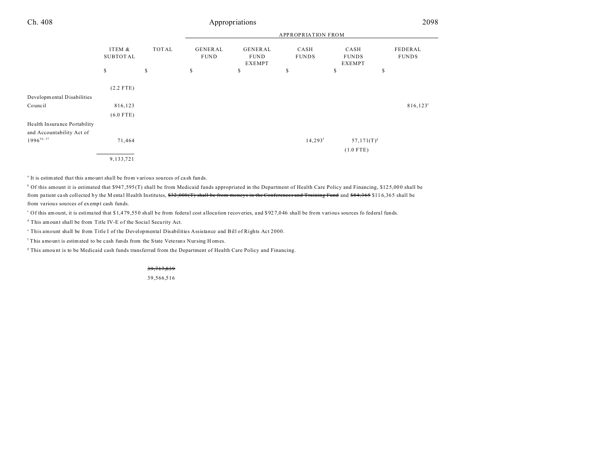| Ch. 408                                                   |                           |              |                        | Appropriations                          |                       |                                       | 2098                    |  |
|-----------------------------------------------------------|---------------------------|--------------|------------------------|-----------------------------------------|-----------------------|---------------------------------------|-------------------------|--|
|                                                           |                           |              |                        | <b>APPROPRIATION FROM</b>               |                       |                                       |                         |  |
|                                                           | ITEM &<br><b>SUBTOTAL</b> | <b>TOTAL</b> | GENERAL<br><b>FUND</b> | GENERAL<br><b>FUND</b><br><b>EXEMPT</b> | CASH<br><b>FUNDS</b>  | CASH<br><b>FUNDS</b><br><b>EXEMPT</b> | FEDERAL<br><b>FUNDS</b> |  |
|                                                           | \$                        | \$           | \$                     | \$                                      | \$                    | \$                                    | \$                      |  |
|                                                           | $(2.2$ FTE)               |              |                        |                                         |                       |                                       |                         |  |
| Developmental Disabilities                                |                           |              |                        |                                         |                       |                                       |                         |  |
| Council                                                   | 816,123                   |              |                        |                                         |                       |                                       | $816,123^{\circ}$       |  |
|                                                           | $(6.0$ FTE)               |              |                        |                                         |                       |                                       |                         |  |
| Health Insurance Portability<br>and Accountability Act of |                           |              |                        |                                         |                       |                                       |                         |  |
| $1996^{56,57}$                                            | 71,464                    |              |                        |                                         | $14,293$ <sup>f</sup> | $57,171(T)^{g}$                       |                         |  |
|                                                           |                           |              |                        |                                         |                       | $(1.0$ FTE)                           |                         |  |
|                                                           | 9,133,721                 |              |                        |                                         |                       |                                       |                         |  |

<sup>a</sup> It is estimated that this amount shall be from various sources of cash funds.

b Of this amount it is estimated that \$947 ,595 (T) shall be from Medicaid funds appropriated in the Department of Health Care Policy and Financing, \$12 5,00 0 shall be from patient cash collected by the M ental Health Institutes, \$32,000 (T) shall be from moneys in the Conferences and Training Fund and \$84,365 \$116,365 shall be from various sources of exempt cash funds.

c Of this amount, it is estima ted that \$ 1,4 79 ,55 0 shall be from federa l cost a lloca tion recoveries, and \$ 92 7,0 46 shall be from various sources fo federal funds.

<sup>d</sup> This amount shall be from Title IV-E of the Social Security Act.

e This amount shall be from Title I of the Developmental Disabilities Assistance and Bill of Rights Act 2000.

f This amount is estimated to be cash funds from the State Veterans Nursing H omes.

<sup>g</sup> This amount is to be Medicaid cash funds transferred from the Department of Health Care Policy and Financing.

39,717,839

39,566,516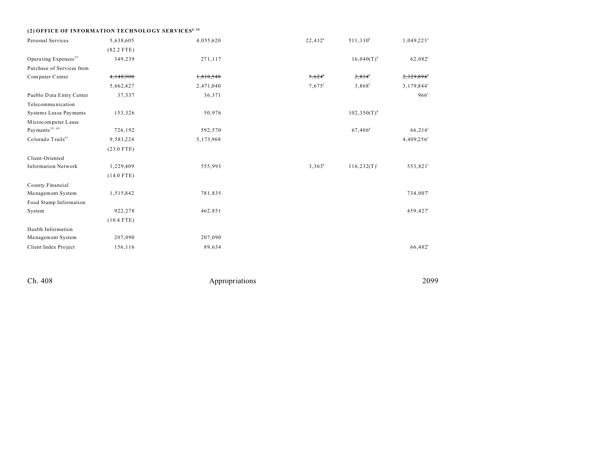| (2) OFFICE OF INFORMATION TECHNOLOGY SERVICES <sup>8, 58</sup> |              |           |                 |                      |                  |
|----------------------------------------------------------------|--------------|-----------|-----------------|----------------------|------------------|
| Personal Services                                              | 5,638,605    | 4,055,620 | $22,432^a$      | $511,330^b$          | $1,049,223$ °    |
|                                                                | $(82.2$ FTE) |           |                 |                      |                  |
| Operating Expenses <sup>59</sup>                               | 349,239      | 271,117   |                 | $16,040(T)^d$        | $62,082^{\circ}$ |
| Purchase of Services from                                      |              |           |                 |                      |                  |
| Computer Center                                                | 4,148,900    | 1,810,548 | $5,624^{\circ}$ | $2,834$ <sup>f</sup> | 2,329,894        |
|                                                                | 5,662,427    | 2,471,040 | $7,675^{\circ}$ | $3,868$ <sup>f</sup> | 3,179,844°       |
| Pueblo Data Entry Center                                       | 37,337       | 36,371    |                 |                      | $966^\circ$      |
| Telecommunication                                              |              |           |                 |                      |                  |
| Systems Lease Payments                                         | 153,326      | 50,976    |                 | $102,350(T)^d$       |                  |
| Microcomputer Lease                                            |              |           |                 |                      |                  |
| Payments $^{\rm 59, \ 60}$                                     | 726,192      | 592,570   |                 | 67,406 <sup>g</sup>  | $66,216^{\circ}$ |
| Colorado Trails <sup>61</sup>                                  | 9,583,224    | 5,173,968 |                 |                      | 4,409,256°       |
|                                                                | $(23.0$ FTE) |           |                 |                      |                  |
| Client-Oriented                                                |              |           |                 |                      |                  |
| <b>Information Network</b>                                     | 1,229,409    | 555,993   | $3,363^h$       | $116, 232(T)^{i}$    | 553,821°         |
|                                                                | $(14.0$ FTE) |           |                 |                      |                  |
| County Financial                                               |              |           |                 |                      |                  |
| Management System                                              | 1,515,842    | 781,835   |                 |                      | 734,007°         |
| Food Stamp Information                                         |              |           |                 |                      |                  |
| System                                                         | 922,278      | 462,851   |                 |                      | 459,427°         |
|                                                                | $(10.4$ FTE) |           |                 |                      |                  |
| Health Information                                             |              |           |                 |                      |                  |
| Management System                                              | 207,090      | 207,090   |                 |                      |                  |
| Client Index Project                                           | 156,116      | 89,634    |                 |                      | 66,482°          |

Ch. 408 2099 Appropriations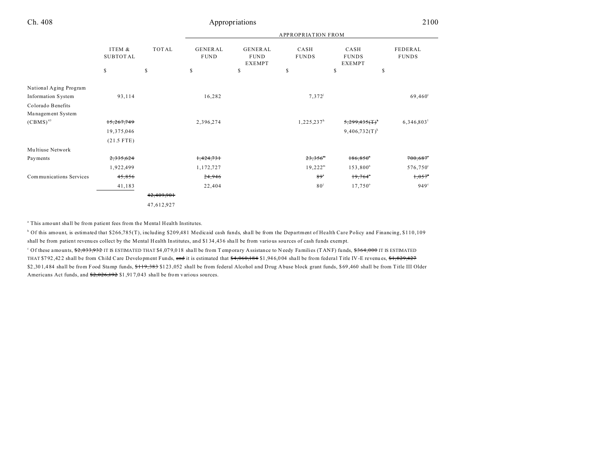|                         |                           |              |                               |                                                | <b>APPROPRIATION FROM</b> |                                |                                |
|-------------------------|---------------------------|--------------|-------------------------------|------------------------------------------------|---------------------------|--------------------------------|--------------------------------|
|                         | ITEM &<br><b>SUBTOTAL</b> | <b>TOTAL</b> | <b>GENERAL</b><br><b>FUND</b> | <b>GENERAL</b><br><b>FUND</b><br><b>EXEMPT</b> | CASH<br><b>FUNDS</b>      | CASH<br><b>FUNDS</b><br>EXEMPT | <b>FEDERAL</b><br><b>FUNDS</b> |
|                         | \$                        | \$           | \$                            | \$                                             | \$                        | \$<br>\$                       |                                |
| National Aging Program  |                           |              |                               |                                                |                           |                                |                                |
| Information System      | 93,114                    |              | 16,282                        |                                                | $7,372^{j}$               |                                | $69,460^{\circ}$               |
| Colorado Benefits       |                           |              |                               |                                                |                           |                                |                                |
| Management System       |                           |              |                               |                                                |                           |                                |                                |
| $(CBMS)^{43}$           | 15,267,749                |              | 2,396,274                     |                                                | 1,225,237 <sup>h</sup>    | $5,299,435$ (T) <sup>*</sup>   | 6,346,803 <sup>1</sup>         |
|                         | 19,375,046                |              |                               |                                                |                           | $9,406,732(T)^k$               |                                |
|                         | $(21.5$ FTE)              |              |                               |                                                |                           |                                |                                |
| Multiuse Network        |                           |              |                               |                                                |                           |                                |                                |
| Payments                | 2,335,624                 |              | 1,424,731                     |                                                | $23,356$ <sup>"</sup>     | 186,850                        | $700,687$ <sup>*</sup>         |
|                         | 1,922,499                 |              | 1,172,727                     |                                                | $19,222^m$                | $153,800^n$                    | $576,750^{\circ}$              |
| Communications Services | 45,856                    |              | 24,946                        |                                                | 89 <sup>j</sup>           | $19,764^\circ$                 | $1,057$ °                      |
|                         | 41,183                    |              | 22,404                        |                                                | 80 <sup>j</sup>           | $17,750^{\circ}$               | $949^\circ$                    |
|                         |                           | 42,409,901   |                               |                                                |                           |                                |                                |
|                         |                           | 47,612,927   |                               |                                                |                           |                                |                                |

<sup>a</sup> This amount shall be from patient fees from the Mental Health Institutes.

b Of this amount, is estimated that \$266,785(T), including \$209,481 Medicaid cash funds, shall be from the Department of Health Care Policy and Financing, \$110,109 shall be from patient revenu es collect by the Mental H ealth Institutes, and \$1 34 ,43 6 sha ll be from various sou rces of cash funds exempt.

Of these amounts, \$2,033,932 IT IS ESTIMATED THAT \$4,079,018 shall be from Temporary Assistance to Needy Families (TANF) funds, \$364,000 IT IS ESTIMATED THAT \$792,422 shall be from Child Care Development Funds, and it is estimated that \$4,060,184 \$1,946,004 shall be from federal Title IV-E revenues, \$1,829,427 \$2,301,484 shall be from Food Stamp funds, \$119,383 \$123,052 shall be from federal Alcohol and Drug Abuse block grant funds, \$69,460 shall be from Title III Older Americans Act funds, and  $\frac{2,026,192}{2}$  \$1,917,043 shall be from various sources.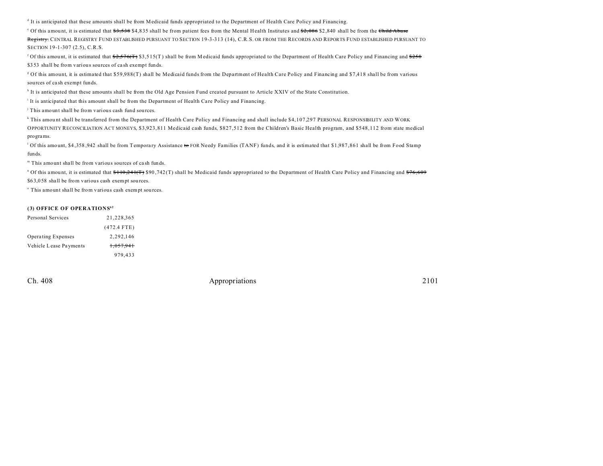It is anticipated that these amounts shall be from Medicaid funds appropriated to the Department of Health Care Policy and Financing.

<sup>e</sup> Of this amount, it is estimated that <del>\$3,538</del> \$4,835 shall be from patient fees from the Mental Health Institutes and <del>\$2,086</del> \$2,840 shall be from the <del>Child Abuse</del> Registry. CENTRAL REGISTRY FUND ESTABLISHED PURSUANT TO SECTION 19-3-313 (14), C.R.S. OR FROM THE RECORDS AND REPORTS FUND ESTABLISHED PURSUANT TO SECTION 19-1-307 (2.5), C.R.S.

<sup>f</sup> Of this amount, it is estimated that  $\frac{22.576(f)}{2.576(f)}$  \$3,515(T) shall be from Medicaid funds appropriated to the Department of Health Care Policy and Financing and <del>\$258</del> \$353 shall be from various sources of cash exempt funds.

g Of this amount, it is estimated that \$59,988(T) shall be Medicaid funds from the Department of Health Care Policy and Financing and \$7,418 shall be from various sources of ca sh exempt funds.

<sup>h</sup> It is anticipated that these amounts shall be from the Old Age Pension Fund created pursuant to Article XXIV of the State Constitution.

It is anticipated that this amount shall be from the Department of Health Care Policy and Financing.

j This amount shall be from various cash fund sou rces.

k This amou nt shall be transferred from the Department of Health Care Policy and Financing and shall include \$4,107,297 PERSONAL RESPONSIBILITY AND WORK OPPORTUNITY RECONCILIATION ACT MONEYS, \$3,923,811 Medicaid cash funds, \$827,512 from the Children's Basic Health program, and \$548,112 from state medical programs.

<sup>1</sup> Of this amount, \$4,358,942 shall be from Temporary Assistance to FOR Needy Families (TANF) funds, and it is estimated that \$1,987,861 shall be from Food Stamp funds.

m This amount shall be from various sources of ca sh funds.

<sup>n</sup> Of this amount, it is estimated that <del>\$110,241(T)</del> \$90,742(T) shall be Medicaid funds appropriated to the Department of Health Care Policy and Financing and <del>\$76,609</del>

\$6 3,0 58 shall be from various cash exempt sou rces.

<sup>o</sup> This amount shall be from various cash exempt sources.

## **(3) OFFICE OF OPERATIONS<sup>62</sup>**

| Personal Services      | 21.228.365           |
|------------------------|----------------------|
|                        | $(472.4$ FTE)        |
| Operating Expenses     | 2.292.146            |
| Vehicle Lease Payments | <del>1.057.941</del> |
|                        | 979,433              |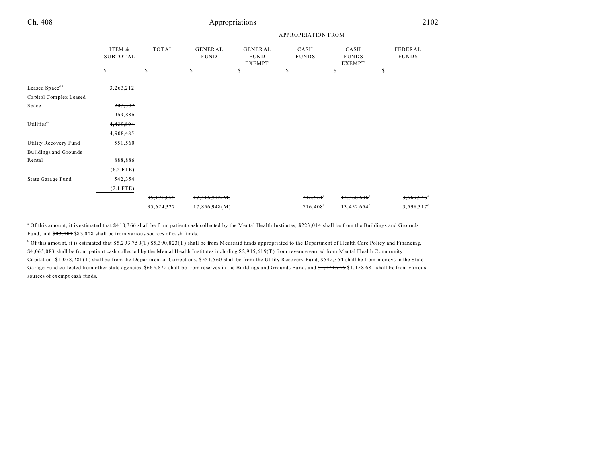|                            |                           |              |                        |                                         | <b>APPROPRIATION FROM</b> |                                       |                         |
|----------------------------|---------------------------|--------------|------------------------|-----------------------------------------|---------------------------|---------------------------------------|-------------------------|
|                            | ITEM &<br><b>SUBTOTAL</b> | <b>TOTAL</b> | GENERAL<br><b>FUND</b> | GENERAL<br><b>FUND</b><br><b>EXEMPT</b> | CASH<br><b>FUNDS</b>      | CASH<br><b>FUNDS</b><br><b>EXEMPT</b> | FEDERAL<br><b>FUNDS</b> |
|                            | \$                        | \$           | \$                     | \$                                      | \$                        | \$                                    | \$                      |
| Leased Space <sup>63</sup> | 3,263,212                 |              |                        |                                         |                           |                                       |                         |
| Capitol Complex Leased     |                           |              |                        |                                         |                           |                                       |                         |
| Space                      | 907,387                   |              |                        |                                         |                           |                                       |                         |
|                            | 969,886                   |              |                        |                                         |                           |                                       |                         |
| Utilities <sup>64</sup>    | 4,439,804                 |              |                        |                                         |                           |                                       |                         |
|                            | 4,908,485                 |              |                        |                                         |                           |                                       |                         |
| Utility Recovery Fund      | 551,560                   |              |                        |                                         |                           |                                       |                         |
| Buildings and Grounds      |                           |              |                        |                                         |                           |                                       |                         |
| Rental                     | 888,886                   |              |                        |                                         |                           |                                       |                         |
|                            | $(6.5$ FTE)               |              |                        |                                         |                           |                                       |                         |
| State Garage Fund          | 542,354                   |              |                        |                                         |                           |                                       |                         |
|                            | $(2.1$ FTE)               |              |                        |                                         |                           |                                       |                         |
|                            |                           | 35,171,655   | 17,516,912(M)          |                                         | 716,561                   | 13,368,636                            | 3,569,546               |
|                            |                           | 35,624,327   | 17,856,948(M)          |                                         | 716,408 <sup>a</sup>      | 13,452,654 <sup>b</sup>               | $3,598,317^{\circ}$     |

<sup>a</sup> Of this amount, it is estimated that \$410,366 shall be from patient cash collected by the Mental Health Institutes, \$223,014 shall be from the Buildings and Grounds Fund, and  $\frac{$83,181}{$83,028}$  shall be from various sources of cash funds.

<sup>b</sup> Of this amount, it is estimated that  $f(3,293,750)$   $f(5,390,823)$  shall be from Medicaid funds appropriated to the Department of Health Care Policy and Financing, \$4 ,06 5,0 83 shall be from patient cash collected by the Mental H ealth Institutes inclu ding \$ 2,9 15 ,61 9(T ) from r evenu e earned from Mental H ealth Community Ca pitation, \$1 ,07 8,2 81 (T) shall be from the Department of Corrections, \$ 55 1,5 60 shall be from the Utility Recovery Fund, \$54 2,3 54 shall be from moneys in the State Garage Fund collected from other state agencies, \$665,872 shall be from reserves in the Buildings and Grounds Fund, and \$1,171,736 \$1,158,681 shall be from various sources of exempt cash funds.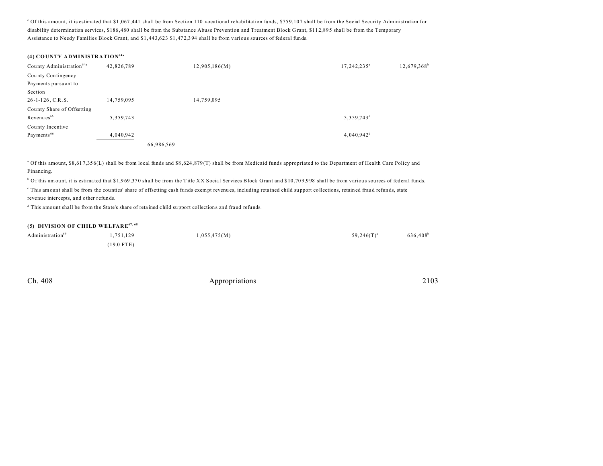<sup>c</sup> Of this amount, it is estimated that \$1,067,441 shall be from Section 110 vocational rehabilitation funds, \$759,107 shall be from the Social Security Administration for disability determination services, \$186,480 shall be from the Substance Abuse Prevention and Treatment Block G rant, \$11 2,89 5 shall be from the Temporary Assistance to Needy Families Block Grant, and  $1,443,623$  \$1,472,394 shall be from various sources of federal funds.

## **(4) COUNTY ADMINISTRATION64a**

| County Administration <sup>64a</sup> | 42,826,789 |            | 12,905,186(M) | 17,242,235 <sup>a</sup>  | $12,679,368^b$ |
|--------------------------------------|------------|------------|---------------|--------------------------|----------------|
| County Contingency                   |            |            |               |                          |                |
| Payments pursuant to                 |            |            |               |                          |                |
| Section                              |            |            |               |                          |                |
| $26 - 1 - 126$ , C.R.S.              | 14,759,095 |            | 14,759,095    |                          |                |
| County Share of Offsetting           |            |            |               |                          |                |
| Revenues <sup>65</sup>               | 5,359,743  |            |               | 5,359,743°               |                |
| County Incentive                     |            |            |               |                          |                |
| Payments <sup>66</sup>               | 4,040,942  |            |               | $4,040.942$ <sup>d</sup> |                |
|                                      |            | 66,986,569 |               |                          |                |

<sup>a</sup> Of this amount, \$8,617,356(L) shall be from local funds and \$8,624,879(T) shall be from Medicaid funds appropriated to the Department of Health Care Policy and Financing.

<sup>b</sup> Of this amount, it is estimated that \$1,969,370 shall be from the Title XX Social Services Block Grant and \$10,709,998 shall be from various sources of federal funds.

This amount shall be from the counties' share of offsetting cash funds exempt revenues, including retained child support collections, retained fraud refunds, state revenue intercepts, and other refunds.

<sup>d</sup> This amount shall be from the State's share of retained child support collections and fraud refunds.

## **(5) DIVISION OF CHILD WELFARE67, 68**

| Administration <sup>69</sup> | 1,751,129    | 1,055,475(M) | 636,408 <sup>b</sup><br>$59,246(T)^{a}$ |
|------------------------------|--------------|--------------|-----------------------------------------|
|                              | $(19.0$ FTE) |              |                                         |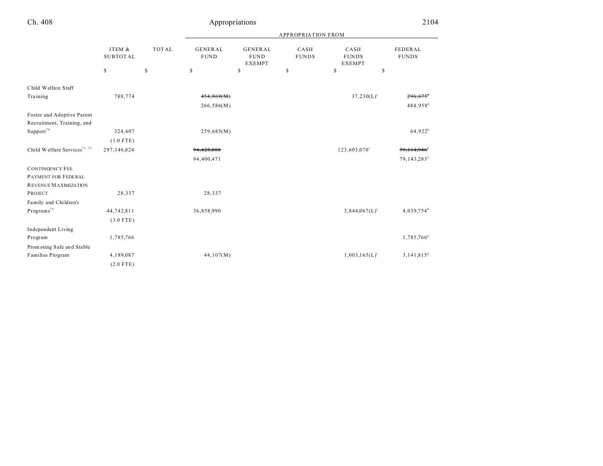|                                          |                           |              | <b>APPROPRIATION FROM</b>     |                                                |                      |                                       |                                 |  |
|------------------------------------------|---------------------------|--------------|-------------------------------|------------------------------------------------|----------------------|---------------------------------------|---------------------------------|--|
|                                          | ITEM &<br><b>SUBTOTAL</b> | <b>TOTAL</b> | <b>GENERAL</b><br><b>FUND</b> | <b>GENERAL</b><br><b>FUND</b><br><b>EXEMPT</b> | CASH<br><b>FUNDS</b> | CASH<br><b>FUNDS</b><br><b>EXEMPT</b> | <b>FEDERAL</b><br>$\rm FUND\,S$ |  |
|                                          | \$                        | \$           | $\mathbb S$                   | \$                                             | \$                   | \$<br>\$                              |                                 |  |
| Child Welfare Staff                      |                           |              |                               |                                                |                      |                                       |                                 |  |
| Training                                 | 788,774                   |              | 454,869(M)                    |                                                |                      | $37,230(L)^c$                         | $296,675$ <sup>d</sup>          |  |
|                                          |                           |              | 266,586(M)                    |                                                |                      |                                       | 484,958 <sup>d</sup>            |  |
| Foster and Adoptive Parent               |                           |              |                               |                                                |                      |                                       |                                 |  |
| Recruitment, Training, and               |                           |              |                               |                                                |                      |                                       |                                 |  |
| $\mbox{Support}^{70}$                    | 324,607                   |              | 259,685(M)                    |                                                |                      |                                       | $64,922^b$                      |  |
|                                          | $(1.0$ FTE)               |              |                               |                                                |                      |                                       |                                 |  |
| Child Welfare Services <sup>71, 72</sup> | 297,146,824               |              | 94,428,808                    |                                                |                      | 123,603,070 <sup>c</sup>              | 79,114,946 <sup>t</sup>         |  |
|                                          |                           |              | 94,400,471                    |                                                |                      |                                       | 79,143,283 <sup>f</sup>         |  |
| <b>CONTINGENCY FEE</b>                   |                           |              |                               |                                                |                      |                                       |                                 |  |
| PAYMENT FOR FEDERAL                      |                           |              |                               |                                                |                      |                                       |                                 |  |
| REVENUE MAXIMIZATION                     |                           |              |                               |                                                |                      |                                       |                                 |  |
| <b>PROJECT</b>                           | 28,337                    |              | 28,337                        |                                                |                      |                                       |                                 |  |
| Family and Children's                    |                           |              |                               |                                                |                      |                                       |                                 |  |
| Programs <sup>73</sup>                   | 44,742,811                |              | 36,858,990                    |                                                |                      | $3,844,067(L)$ <sup>c</sup>           | $4,039,754^b$                   |  |
|                                          | $(3.0$ FTE)               |              |                               |                                                |                      |                                       |                                 |  |
| Independent Living                       |                           |              |                               |                                                |                      |                                       |                                 |  |
| Program                                  | 1,785,766                 |              |                               |                                                |                      |                                       | 1,785,766 <sup>b</sup>          |  |
| Promoting Safe and Stable                |                           |              |                               |                                                |                      |                                       |                                 |  |
| Families Program                         | 4,189,087                 |              | 44,107(M)                     |                                                |                      | $1,003,165(L)^c$                      | $3,141,815$ <sup>g</sup>        |  |
|                                          | $(2.0$ FTE)               |              |                               |                                                |                      |                                       |                                 |  |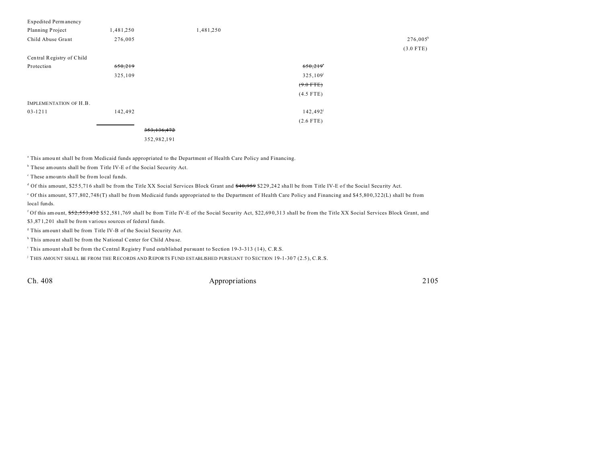| <b>Expedited Permanency</b> |           |               |           |                   |             |
|-----------------------------|-----------|---------------|-----------|-------------------|-------------|
| Planning Project            | 1,481,250 |               | 1,481,250 |                   |             |
| Child Abuse Grant           | 276,005   |               |           |                   | $276,005^h$ |
|                             |           |               |           |                   | $(3.0$ FTE) |
| Central Registry of Child   |           |               |           |                   |             |
| Protection                  | 650,219   |               |           | 650,219           |             |
|                             | 325,109   |               |           | $325,109^i$       |             |
|                             |           |               |           | $(9.0$ FTE)       |             |
|                             |           |               |           | $(4.5$ FTE)       |             |
| IMPLEMENTATION OF H.B.      |           |               |           |                   |             |
| 03-1211                     | 142,492   |               |           | $142,492^{\rm j}$ |             |
|                             |           |               |           | $(2.6$ FTE)       |             |
|                             |           | 353, 136, 472 |           |                   |             |
|                             |           | 352,982,191   |           |                   |             |
|                             |           |               |           |                   |             |

<sup>a</sup> This amount shall be from Medicaid funds appropriated to the Department of Health Care Policy and Financing.

<sup>b</sup> These amounts shall be from Title IV-E of the Social Security Act.

c These amounts shall be from local fu nds.

d Of this amount, \$255,716 shall be from the Title XX Social Services Block Grant and <del>\$40,959</del> \$229,242 shall be from Title IV-E of the Social Security Act.

of this amount, \$77,802,748(T) shall be from Medicaid funds appropriated to the Department of Health Care Policy and Financing and \$45,800,322(L) shall be from local funds.

<sup>f</sup> Of this amount, <del>\$52,553,432</del> \$52,581,769 shall be from Title IV-E of the Social Security Act, \$22,690,313 shall be from the Title XX Social Services Block Grant, and \$3 ,87 1,2 01 shall be from various sources of federal funds.

<sup>8</sup> This amount shall be from Title IV-B of the Social Security Act.

<sup>h</sup> This amount shall be from the National Center for Child Abuse.

i This amount shall be from the Central Registry Fund established pursuant to Section 19-3-313 (14), C.R.S.

j THIS AMOUNT SHALL BE FROM THE RECORDS AND REPORTS FUND ESTABLISHED PURSUANT TO SECTION 19-1-30 7 (2.5), C.R.S.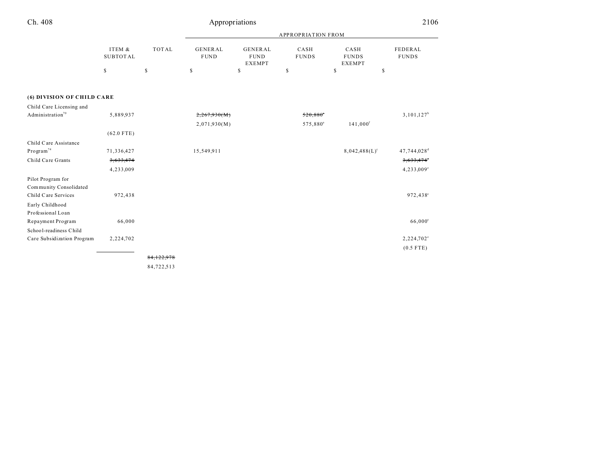| Ch. 408                      |                           |              |                               | Appropriations                                 |                        |                                       | 2106                    |  |
|------------------------------|---------------------------|--------------|-------------------------------|------------------------------------------------|------------------------|---------------------------------------|-------------------------|--|
|                              |                           |              |                               | <b>APPROPRIATION FROM</b>                      |                        |                                       |                         |  |
|                              | ITEM &<br><b>SUBTOTAL</b> | <b>TOTAL</b> | <b>GENERAL</b><br><b>FUND</b> | <b>GENERAL</b><br><b>FUND</b><br><b>EXEMPT</b> | CASH<br><b>FUNDS</b>   | CASH<br><b>FUNDS</b><br><b>EXEMPT</b> | FEDERAL<br><b>FUNDS</b> |  |
|                              | \$                        | $\mathbb S$  | $\mathbb S$                   | \$                                             | s                      | \$<br>\$                              |                         |  |
| (6) DIVISION OF CHILD CARE   |                           |              |                               |                                                |                        |                                       |                         |  |
| Child Care Licensing and     |                           |              |                               |                                                |                        |                                       |                         |  |
| Administration <sup>70</sup> | 5,889,937                 |              | 2,267,930(M)                  |                                                | $520,880$ <sup>*</sup> |                                       | $3,101,127^b$           |  |
|                              |                           |              | 2,071,930(M)                  |                                                | 575,880 <sup>a</sup>   | $141,000$ <sup>f</sup>                |                         |  |
|                              | $(62.0$ FTE)              |              |                               |                                                |                        |                                       |                         |  |
| Child Care Assistance        |                           |              |                               |                                                |                        |                                       |                         |  |
| Program <sup>74</sup>        | 71,336,427                |              | 15,549,911                    |                                                |                        | $8,042,488(L)^c$                      | 47,744,028 <sup>d</sup> |  |
| Child Care Grants            | 3,633,474                 |              |                               |                                                |                        |                                       | 3,633,474               |  |
|                              | 4,233,009                 |              |                               |                                                |                        |                                       | 4,233,009°              |  |
| Pilot Program for            |                           |              |                               |                                                |                        |                                       |                         |  |
| Community Consolidated       |                           |              |                               |                                                |                        |                                       |                         |  |
| Child Care Services          | 972,438                   |              |                               |                                                |                        |                                       | 972,438°                |  |
| Early Childhood              |                           |              |                               |                                                |                        |                                       |                         |  |
| Professional Loan            |                           |              |                               |                                                |                        |                                       |                         |  |
| Repayment Program            | 66,000                    |              |                               |                                                |                        |                                       | $66,000^{\circ}$        |  |
| School-readiness Child       |                           |              |                               |                                                |                        |                                       |                         |  |
| Care Subsidization Program   | 2,224,702                 |              |                               |                                                |                        |                                       | 2,224,702°              |  |
|                              |                           |              |                               |                                                |                        |                                       | $(0.5$ FTE)             |  |
|                              |                           | 84.122.978   |                               |                                                |                        |                                       |                         |  |

84,722,513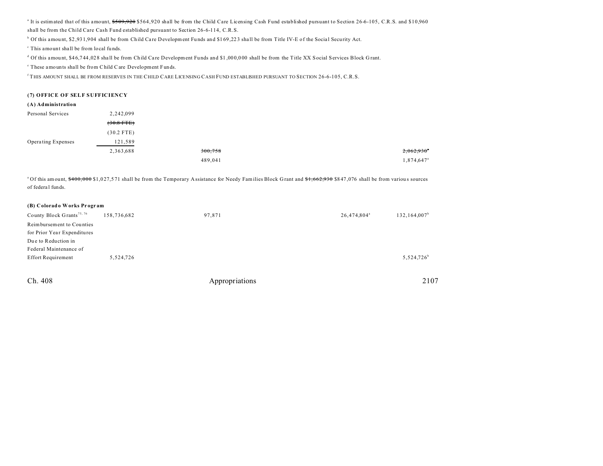<sup>a</sup> It is estimated that of this amount, \$509,920 \$564,920 shall be from the Child Care Licensing Cash Fund established pursuant to Section 26-6-105, C.R.S. and \$10,960 shall be from the Child Care Cash Fund established pursuant to Section 26-6-114, C.R.S.

<sup>b</sup> Of this amount, \$2,931,904 shall be from Child Care Development Funds and \$169,223 shall be from Title IV-E of the Social Security Act.

c This amount shall be from local fu nds.

d Of this amount, \$46,744,028 shall be from Child Care Development Funds and \$1,000,000 shall be from the Title XX Social Services Block Grant.

e These amounts shall be from Child Care Development Funds.

<sup>f</sup> THIS AMOUNT SHALL BE FROM RESERVES IN THE CHILD CARE LICENSING CASH FUND ESTABLISHED PURSUANT TO SECTION 26-6-105, C.R.S.

## **(7) OFFICE OF SELF SUFFICIENCY**

| (A) Administration |              |         |                        |
|--------------------|--------------|---------|------------------------|
| Personal Services  | 2,242,099    |         |                        |
|                    | $(30.8$ FTE) |         |                        |
|                    | $(30.2$ FTE) |         |                        |
| Operating Expenses | 121,589      |         |                        |
|                    | 2,363,688    | 300,758 | 2,062,930              |
|                    |              | 489,041 | 1,874,647 <sup>a</sup> |

<sup>a</sup>Of this amount, \$400,000 \$1,027,571 shall be from the Temporary Assistance for Needy Families Block Grant and \$1,662,930 \$847,076 shall be from various sources of federa l funds.

## **(B) Colorado Works Pr ogr am**

| County Block Grants <sup>75, 76</sup> | 158,736,682 | 97,871 | 26,474,804 <sup>a</sup> | 132,164,007 <sup>b</sup> |
|---------------------------------------|-------------|--------|-------------------------|--------------------------|
| Reimbursement to Counties             |             |        |                         |                          |
| for Prior Year Expenditures           |             |        |                         |                          |
| Due to Reduction in                   |             |        |                         |                          |
| Federal Maintenance of                |             |        |                         |                          |
| <b>Effort Requirement</b>             | 5,524,726   |        |                         | 5,524,726 <sup>b</sup>   |
|                                       |             |        |                         |                          |
|                                       |             |        |                         |                          |

| Ch. | 408 |  |
|-----|-----|--|
|-----|-----|--|

Appropriations 2107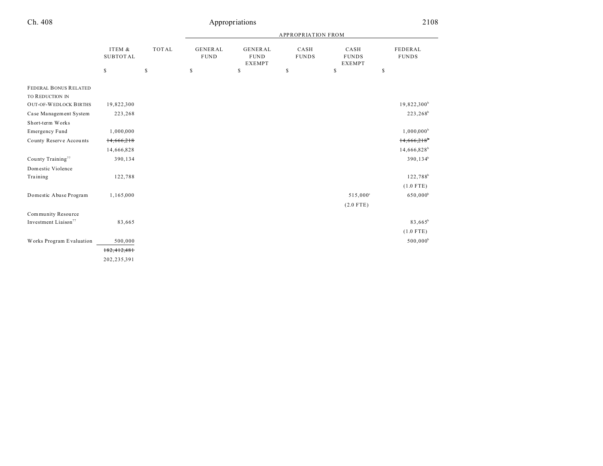|                                  |                           |               | <b>APPROPRIATION FROM</b>      |                                                |                      |                                       |                         |  |
|----------------------------------|---------------------------|---------------|--------------------------------|------------------------------------------------|----------------------|---------------------------------------|-------------------------|--|
|                                  | ITEM &<br><b>SUBTOTAL</b> | <b>TOTAL</b>  | <b>GENERAL</b><br>${\tt FUND}$ | <b>GENERAL</b><br><b>FUND</b><br><b>EXEMPT</b> | CASH<br><b>FUNDS</b> | CASH<br><b>FUNDS</b><br><b>EXEMPT</b> | FEDERAL<br><b>FUNDS</b> |  |
|                                  | $\mathbb{S}$              | $\mathsf{\$}$ | \$                             | \$                                             | S                    | \$                                    | \$                      |  |
| <b>FEDERAL BONUS RELATED</b>     |                           |               |                                |                                                |                      |                                       |                         |  |
| TO REDUCTION IN                  |                           |               |                                |                                                |                      |                                       |                         |  |
| <b>OUT-OF-WEDLOCK BIRTHS</b>     | 19,822,300                |               |                                |                                                |                      |                                       | $19,822,300^b$          |  |
| Case Management System           | 223,268                   |               |                                |                                                |                      |                                       | $223,268^b$             |  |
| Short-term Works                 |                           |               |                                |                                                |                      |                                       |                         |  |
| <b>Emergency Fund</b>            | 1,000,000                 |               |                                |                                                |                      |                                       | $1,000,000^{\circ}$     |  |
| County Reserve Accounts          | 14,666,218                |               |                                |                                                |                      |                                       | 14,666,218              |  |
|                                  | 14,666,828                |               |                                |                                                |                      |                                       | 14,666,828 <sup>b</sup> |  |
| County Training <sup>77</sup>    | 390,134                   |               |                                |                                                |                      |                                       | $390, 134^b$            |  |
| Domestic Violence                |                           |               |                                |                                                |                      |                                       |                         |  |
| Training                         | 122,788                   |               |                                |                                                |                      |                                       | $122,788^b$             |  |
|                                  |                           |               |                                |                                                |                      |                                       | $(1.0$ FTE)             |  |
| Domestic Abuse Program           | 1,165,000                 |               |                                |                                                |                      | 515,000°                              | $650,000^b$             |  |
|                                  |                           |               |                                |                                                |                      | $(2.0$ FTE)                           |                         |  |
| Community Resource               |                           |               |                                |                                                |                      |                                       |                         |  |
| Investment Liaison <sup>77</sup> | 83,665                    |               |                                |                                                |                      |                                       | 83,665 <sup>b</sup>     |  |
|                                  |                           |               |                                |                                                |                      |                                       | $(1.0$ FTE)             |  |
| Works Program Evaluation         | 500,000                   |               |                                |                                                |                      |                                       | $500,000^{\rm b}$       |  |
|                                  | 182, 412, 481             |               |                                |                                                |                      |                                       |                         |  |
|                                  | 202,235,391               |               |                                |                                                |                      |                                       |                         |  |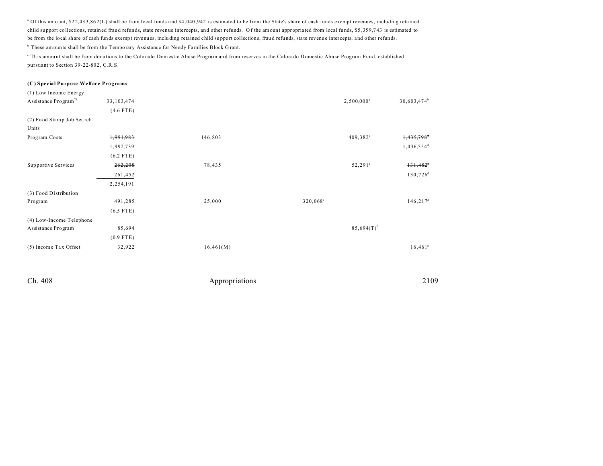<sup>a</sup> Of this amount, \$22,433,862(L) shall be from local funds and \$4,040,942 is estimated to be from the State's share of cash funds exempt revenues, including retained child support collections, retained frau d refunds, state revenue intercepts, and other r efunds. O f the amount appropria ted from local funds, \$5 ,35 9,7 43 is estimated to be from the local share of cash funds exempt revenues, inclu ding reta ined child su pport collections, frau d refu nds, sta te revenue intercepts, a nd other r efunds.

<sup>b</sup> These amounts shall be from the Temporary Assistance for Needy Families Block Grant.

This amount shall be from donations to the Colorado Domestic Abuse Program and from reserves in the Colorado Domestic Abuse Program Fund, established pursuant to Section 39-22-802, C.R.S.

### **(C) Special Purpose Welfare Programs**

| (1) Low Income Energy            |              |           |          |                   |                         |
|----------------------------------|--------------|-----------|----------|-------------------|-------------------------|
| Assistance Program <sup>78</sup> | 33, 103, 474 |           |          | $2,500,000^a$     | 30,603,474 <sup>b</sup> |
|                                  | $(4.6$ FTE)  |           |          |                   |                         |
| (2) Food Stamp Job Search        |              |           |          |                   |                         |
| Units                            |              |           |          |                   |                         |
| Program Costs                    | 1,991,983    | 146,803   |          | $409,382^{\circ}$ | 1,435,798 <sup>*</sup>  |
|                                  | 1,992,739    |           |          |                   | 1,436,554 <sup>d</sup>  |
|                                  | $(6.2$ FTE)  |           |          |                   |                         |
| <b>Supportive Services</b>       | 262,208      | 78,435    |          | $52,291^{\circ}$  | $131,482$ <sup>d</sup>  |
|                                  | 261,452      |           |          |                   | $130,726$ <sup>d</sup>  |
|                                  | 2,254,191    |           |          |                   |                         |
| (3) Food Distribution            |              |           |          |                   |                         |
| Program                          | 491,285      | 25,000    | 320,068° |                   | $146, 217$ <sup>d</sup> |
|                                  | $(6.5$ FTE)  |           |          |                   |                         |
| (4) Low-Income Telephone         |              |           |          |                   |                         |
| Assistance Program               | 85,694       |           |          | $85,694(T)^f$     |                         |
|                                  | $(0.9$ FTE)  |           |          |                   |                         |
| (5) Income Tax Offset            | 32,922       | 16,461(M) |          |                   | 16,461 <sup>g</sup>     |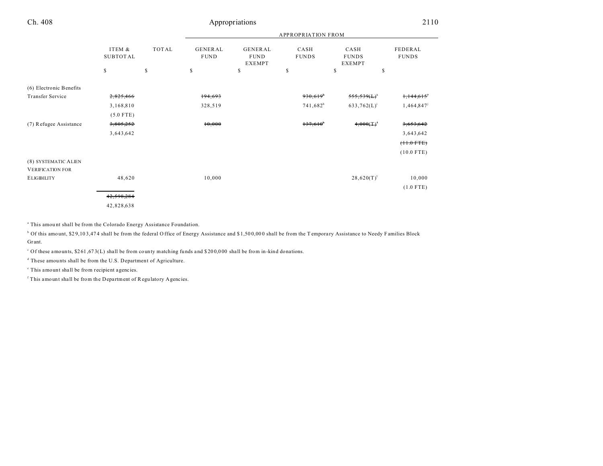|                         |                           |    | <b>APPROPRIATION FROM</b> |                        |                                         |                      |                                |                         |
|-------------------------|---------------------------|----|---------------------------|------------------------|-----------------------------------------|----------------------|--------------------------------|-------------------------|
|                         | ITEM &<br><b>SUBTOTAL</b> |    | <b>TOTAL</b>              | GENERAL<br><b>FUND</b> | GENERAL<br><b>FUND</b><br><b>EXEMPT</b> | CASH<br><b>FUNDS</b> | CASH<br><b>FUNDS</b><br>EXEMPT | FEDERAL<br><b>FUNDS</b> |
|                         | \$                        | \$ | \$                        | \$                     | \$                                      | \$                   | \$                             |                         |
| (6) Electronic Benefits |                           |    |                           |                        |                                         |                      |                                |                         |
| Transfer Service        | 2,825,466                 |    | 194,693                   |                        | 930,619                                 | 555,539(L)           | 1,144,615                      |                         |
|                         | 3,168,810                 |    | 328,519                   |                        | $741,682^h$                             | $633,762(L)^i$       | 1,464,847                      |                         |
|                         | $(5.0$ FTE)               |    |                           |                        |                                         |                      |                                |                         |
| (7) Refugee Assistance  | 3,805,252                 |    | 10,000                    |                        | 137,610                                 | $4,000(T)^{1}$       | 3,653,642                      |                         |
|                         | 3,643,642                 |    |                           |                        |                                         |                      | 3,643,642                      |                         |
|                         |                           |    |                           |                        |                                         |                      | $(11.0$ FTE)                   |                         |
|                         |                           |    |                           |                        |                                         |                      | $(10.0$ FTE)                   |                         |
| (8) SYSTEMATIC ALIEN    |                           |    |                           |                        |                                         |                      |                                |                         |
| <b>VERIFICATION FOR</b> |                           |    |                           |                        |                                         |                      |                                |                         |
| <b>ELIGIBILITY</b>      | 48,620                    |    | 10,000                    |                        |                                         | $28,620(T)^1$        | 10,000                         |                         |
|                         |                           |    |                           |                        |                                         |                      | $(1.0$ FTE)                    |                         |
|                         | 42,598,284                |    |                           |                        |                                         |                      |                                |                         |
|                         | 42,828,638                |    |                           |                        |                                         |                      |                                |                         |

<sup>a</sup> This amount shall be from the Colorado Energy Assistance Foundation.

 $^{\circ}$  Of this amount, \$29,103,474 shall be from the federal Office of Energy Assistance and \$1,500,000 shall be from the Temporary Assistance to Needy Families Block Grant.

<sup>c</sup> Of these amounts, \$261,673(L) shall be from county matching funds and \$200,000 shall be from in-kind donations.

<sup>d</sup> These amounts shall be from the U.S. Department of Agriculture.

e This amount shall be from recipient agencies.

<sup>f</sup> This amount shall be from the Department of Regulatory Agencies.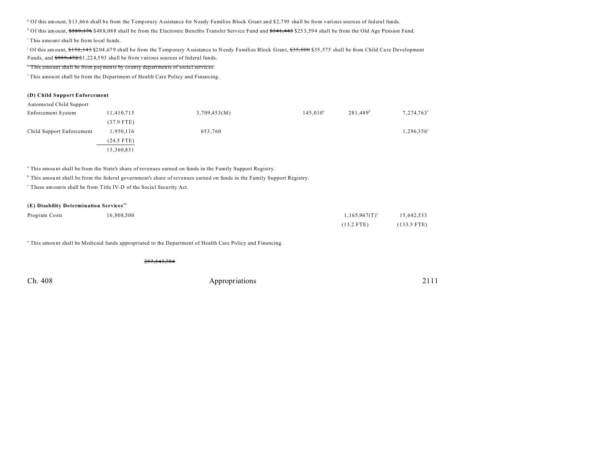<sup>g</sup> Of this amount, \$13,666 shall be from the Temporary Assistance for Needy Families Block Grant and \$2,795 shall be from various sources of federal funds.

<sup>h</sup> Of this amount, <del>\$589,176</del> \$488,088 shall be from the Electronic Benefits Transfer Service Fund and <del>\$341,443</del> \$253,594 shall be from the Old Age Pension Fund.

i This amount shall be from local fu nds.

 $\frac{1}{2}$  Of this amount, \$150,143 \$204,679 shall be from the Temporary Assistance to Needy Families Block Grant, \$35,000 \$35,575 shall be from Child Care Development Funds, and \$959,472 \$1 ,22 4,5 93 shall be from various sources of federal funds.

#### k This amount shall be from payments by county departments of socia l services.

<sup>1</sup> This amount shall be from the Department of Health Care Policy and Financing.

#### **(D) Child Support Enforcement**

| Automated Child Support   |              |              |             |                      |                     |
|---------------------------|--------------|--------------|-------------|----------------------|---------------------|
| Enforcement System        | 11,410,715   | 3,709,453(M) | $145,010^a$ | 281,489 <sup>b</sup> | 7,274,763°          |
|                           | $(37.9$ FTE) |              |             |                      |                     |
| Child Support Enforcement | 1,950,116    | 653,760      |             |                      | $1,296,356^{\circ}$ |
|                           | $(24.5$ FTE) |              |             |                      |                     |
|                           | 13,360,831   |              |             |                      |                     |

a This amou nt shall be from the State's share of revenues earned on funds in the Family Support Registry.

b This amou nt shall be from the federal government's share of revenues earned on funds in the Family Support Registry.

<sup>c</sup> These amounts shall be from Title IV-D of the Social Security Act.

## **(E) Disability Determination Services**<sup>44</sup>

| Program Costs | 16,808,500 | $1,165.967(T)^{a}$ | 15,642,533            |
|---------------|------------|--------------------|-----------------------|
|               |            | $(13.2$ FTE)       | $(133.5 \text{ FTE})$ |

<sup>a</sup> This amount shall be Medicaid funds appropriated to the Department of Health Care Policy and Financing.

257,543,784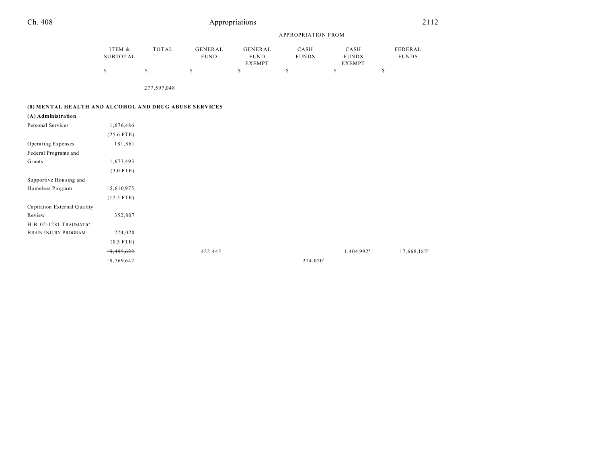| Ch. 408 | Appropriations | 2112 |
|---------|----------------|------|
| .       |                |      |
|         |                |      |

|          |       | APPROPRIATION FROM |               |              |               |              |  |
|----------|-------|--------------------|---------------|--------------|---------------|--------------|--|
|          |       |                    |               |              |               |              |  |
| ITEM &   | TOTAL | GENERAL            | GENERAL       | CASH         | CASH          | FEDERAL      |  |
| SUBTOTAL |       | <b>FUND</b>        | <b>FUND</b>   | <b>FUNDS</b> | <b>FUNDS</b>  | <b>FUNDS</b> |  |
|          |       |                    | <b>EXEMPT</b> |              | <b>EXEMPT</b> |              |  |
|          |       |                    |               |              |               |              |  |

277,597,048

## **(8) MEN TAL HEALTH AND ALCOHOL AND DRUG ABUSE SERVICES**

**(A) Administration**

| Personal Services           | 1,676,486    |         |                   |                        |
|-----------------------------|--------------|---------|-------------------|------------------------|
|                             | $(25.6$ FTE) |         |                   |                        |
| Operating Expenses          | 181,861      |         |                   |                        |
| Federal Programs and        |              |         |                   |                        |
| Grants                      | 1,673,493    |         |                   |                        |
|                             | $(3.0$ FTE)  |         |                   |                        |
| Supportive Housing and      |              |         |                   |                        |
| Homeless Program            | 15,610,975   |         |                   |                        |
|                             | $(12.5$ FTE) |         |                   |                        |
| Capitation External Quality |              |         |                   |                        |
| Review                      | 352,807      |         |                   |                        |
| H.B.02-1281 TRAUMATIC       |              |         |                   |                        |
| <b>BRAIN INJURY PROGRAM</b> | 274,020      |         |                   |                        |
|                             | $(0.3$ FTE)  |         |                   |                        |
|                             | 19,495,622   | 422,445 |                   | 1,404,992 <sup>a</sup> |
|                             | 19,769,642   |         | $274,020^{\circ}$ |                        |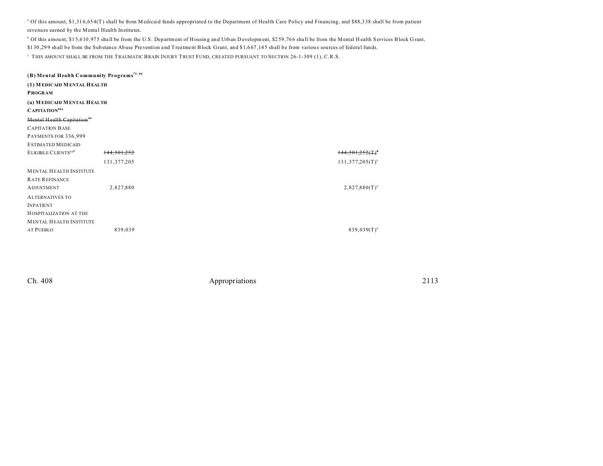<sup>a</sup> Of this amount, \$1,316,654(T) shall be from Medicaid funds appropriated to the Department of Health Care Policy and Financing, and \$88,338 shall be from patient revenues earned by the Mental Health Institutes.

<sup>b</sup> Of this amount, \$15,610,975 shall be from the U.S. Department of Housing and Urban D evelopment, \$259,766 shall be from the Mental H ealth Services Block Grant, \$1 30 ,29 9 shall be from the Substance Abuse Prevention and T reatment Block Grant, and \$1,6 67 ,14 5 shall be from variou s sources of federal funds.

 $^\circ$  This amount shall be from the Traumatic Brain Injury Trust Fund, created pursuant to Section 26-1-309 (1), C.R.S.

| (B) Mental Health Community Programs <sup>79, 80</sup> |             |                    |
|--------------------------------------------------------|-------------|--------------------|
| (1) MEDICAID MENTAL HEALTH                             |             |                    |
| <b>PROGRAM</b>                                         |             |                    |
| (a) MEDICAID MENTAL HEALTH                             |             |                    |
| CAPITATION <sup>80a</sup>                              |             |                    |
| Mental Health Capitation <sup>#1</sup>                 |             |                    |
| <b>CAPITATION BASE</b>                                 |             |                    |
| PAYMENTS FOR 336,999                                   |             |                    |
| <b>ESTIMATED MEDICAID</b>                              |             |                    |
| ELIGIBLE CLIENTS80b                                    | 144,501,252 | 144.501.252(1)     |
|                                                        | 131,377,205 | $131,377,205(T)^a$ |
| <b>MENTAL HEALTH INSTITUTE</b>                         |             |                    |
| <b>RATE REFINANCE</b>                                  |             |                    |
| <b>ADJUSTMENT</b>                                      | 2,827,880   | $2,827,880(T)^{a}$ |
| <b>ALTERNATIVES TO</b>                                 |             |                    |
| <b>INPATIENT</b>                                       |             |                    |
| HOSPITALIZATION AT THE                                 |             |                    |
| <b>MENTAL HEALTH INSTITUTE</b>                         |             |                    |
| <b>AT PUEBLO</b>                                       | 839,039     | $839,039(T)^{a}$   |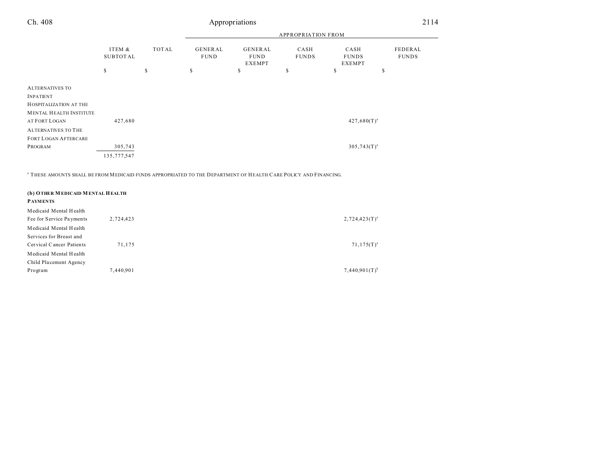|                                |                    |             | <b>APPROPRIATION FROM</b>     |                                         |                      |                                       |                                |
|--------------------------------|--------------------|-------------|-------------------------------|-----------------------------------------|----------------------|---------------------------------------|--------------------------------|
|                                | ITEM &<br>SUBTOTAL | TOTAL       | <b>GENERAL</b><br><b>FUND</b> | GENERAL<br><b>FUND</b><br><b>EXEMPT</b> | CASH<br><b>FUNDS</b> | CASH<br><b>FUNDS</b><br><b>EXEMPT</b> | <b>FEDERAL</b><br><b>FUNDS</b> |
|                                | \$                 | $\mathbb S$ | $\mathbb{S}$                  | \$                                      | S                    | \$                                    | \$                             |
| <b>ALTERNATIVES TO</b>         |                    |             |                               |                                         |                      |                                       |                                |
| <b>INPATIENT</b>               |                    |             |                               |                                         |                      |                                       |                                |
| HOSPITALIZATION AT THE         |                    |             |                               |                                         |                      |                                       |                                |
| <b>MENTAL HEALTH INSTITUTE</b> |                    |             |                               |                                         |                      |                                       |                                |
| AT FORT LOGAN                  | 427,680            |             |                               |                                         |                      | $427,680(T)^{a}$                      |                                |
| <b>ALTERNATIVES TO THE</b>     |                    |             |                               |                                         |                      |                                       |                                |
| <b>FORT LOGAN AFTERCARE</b>    |                    |             |                               |                                         |                      |                                       |                                |
| PROGRAM                        | 305,743            |             |                               |                                         |                      | $305,743(T)^{a}$                      |                                |
|                                | 135,777,547        |             |                               |                                         |                      |                                       |                                |

a THESE AMOUNTS SHALL BE FROM MEDICAID FUNDS APPROPRIATED TO THE DEPARTMENT OF HEALTH CARE POLICY AND FINANCING.

| (b) OTHER MEDICAID MENTAL HEALTH |           |                    |
|----------------------------------|-----------|--------------------|
| <b>PAYMENTS</b>                  |           |                    |
| Medicaid Mental Health           |           |                    |
| Fee for Service Payments         | 2,724,423 | $2,724,423(T)^{a}$ |
| Medicaid Mental Health           |           |                    |
| Services for Breast and          |           |                    |
| Cervical Cancer Patients         | 71.175    | $71,175(T)^{a}$    |
| Medicaid Mental Health           |           |                    |
| Child Placement Agency           |           |                    |
| Program                          | 7,440,901 | $7,440,901(T)^{b}$ |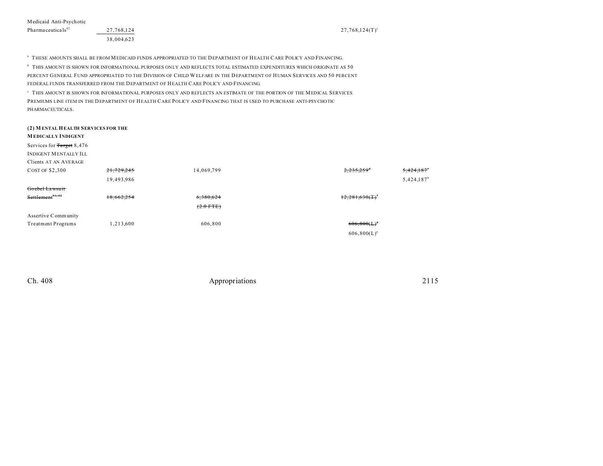<sup>a</sup> THESE AMOUNTS SHALL BE FROM MEDICAID FUNDS APPROPRIATED TO THE DEPARTMENT OF HEALTH CARE POLICY AND FINANCING.

 $^{\circ}$  THIS AMOUNT IS SHOWN FOR INFORMATIONAL PURPOSES ONLY AND REFLECTS TOTAL ESTIMATED EXPENDITURES WHICH ORIGINATE AS  $50$ PERCENT GENERAL FUND APPROPRIATED TO THE DIVISION OF CHILD WELFARE IN THE DEPARTMENT OF HUMAN SERVICES AND 50 PERCENT FEDERAL FUNDS TRANSFERRED FROM THE DEPARTMENT OF HEALTH CARE POLICY AND FINANCING.

 $^\circ$  THIS AMOUNT IS SHOWN FOR INFORMATIONAL PURPOSES ONLY AND REFLECTS AN ESTIMATE OF THE PORTION OF THE MEDICAL SERVICES PREMIUMS LINE ITEM IN THE DEPARTMENT OF HEALTH CARE POLICY AND FINANCING THAT IS USED TO PURCHASE ANTI-PSYCHOTIC PHARMACEUTICALS.

## **(2) M ENTAL HEALTH SERVICES FOR THE**

## **M EDICALLY INDIGENT**

Services for Target 8,476

INDIGENT MENTALLY ILL Clients AT AN AVERAGE

| CHEIRS AT AN AVERAU |  |  |  |
|---------------------|--|--|--|
|                     |  |  |  |

| <b>COST OF \$2,300</b>       | 21,729,245 | 14,069,799  | $2,235,259$ <sup>d</sup><br>5,424,187 |
|------------------------------|------------|-------------|---------------------------------------|
|                              | 19,493,986 |             | $5,424,187^b$                         |
| Goebel Lawsuit               |            |             |                                       |
| Settlement <sup>81, 82</sup> | 18,662,254 | 6,380,624   | $12,281,630(T)^t$                     |
|                              |            | $(2.0$ FTE) |                                       |
| Assertive Community          |            |             |                                       |
| <b>Treatment Programs</b>    | 1,213,600  | 606,800     | $606,800(L)^{s}$                      |
|                              |            |             | $606,800(L)^{a}$                      |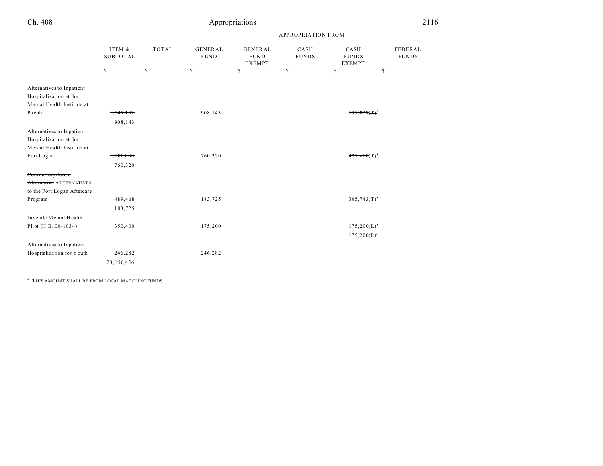|                                                                                   |                            |              | APPROPRIATION FROM            |                                         |                      |                                       |                         |  |
|-----------------------------------------------------------------------------------|----------------------------|--------------|-------------------------------|-----------------------------------------|----------------------|---------------------------------------|-------------------------|--|
|                                                                                   | ITEM &<br>${\tt SUBTOTAL}$ | <b>TOTAL</b> | <b>GENERAL</b><br><b>FUND</b> | GENERAL<br><b>FUND</b><br><b>EXEMPT</b> | CASH<br><b>FUNDS</b> | CASH<br><b>FUNDS</b><br><b>EXEMPT</b> | FEDERAL<br><b>FUNDS</b> |  |
|                                                                                   | \$                         | \$           | $\mathbb{S}$                  | \$                                      | \$                   | \$                                    | \$                      |  |
| Alternatives to Inpatient<br>Hospitalization at the<br>Mental Health Institute at |                            |              |                               |                                         |                      |                                       |                         |  |
| Pueblo                                                                            | 1,747,182                  |              | 908,143                       |                                         |                      |                                       |                         |  |
|                                                                                   | 908,143                    |              |                               |                                         |                      |                                       |                         |  |
| Alternatives to Inpatient<br>Hospitalization at the<br>Mental Health Institute at |                            |              |                               |                                         |                      |                                       |                         |  |
| Fort Logan                                                                        | 1,188,000                  |              | 760,320                       |                                         |                      |                                       |                         |  |
|                                                                                   | 760,320                    |              |                               |                                         |                      |                                       |                         |  |
| Community-based                                                                   |                            |              |                               |                                         |                      |                                       |                         |  |
| Alternative ALTERNATIVES<br>to the Fort Logan Aftercare                           |                            |              |                               |                                         |                      |                                       |                         |  |
| Program                                                                           | 489,468                    |              | 183,725                       |                                         |                      |                                       |                         |  |
|                                                                                   | 183,725                    |              |                               |                                         |                      |                                       |                         |  |
| Juvenile Mental Health                                                            |                            |              |                               |                                         |                      |                                       |                         |  |
| Pilot (H.B. 00-1034)                                                              | 350,400                    |              | 175,200                       |                                         |                      | $175,200(L)^{5}$                      |                         |  |
|                                                                                   |                            |              |                               |                                         |                      | $175,200(L)^a$                        |                         |  |
| Alternatives to Inpatient                                                         |                            |              |                               |                                         |                      |                                       |                         |  |
| Hospitalization for Y outh                                                        | 246,282                    |              | 246,282                       |                                         |                      |                                       |                         |  |
|                                                                                   | 23,156,456                 |              |                               |                                         |                      |                                       |                         |  |

a THIS AMOUNT SHALL BE FROM LOCAL MATCHING FUNDS.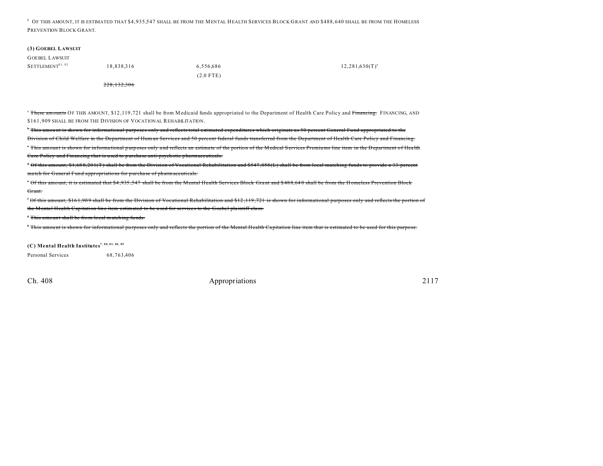<sup>b</sup> OF THIS AMOUNT, IT IS ESTIMATED THAT \$4,935,547 SHALL BE FROM THE MENTAL HEALTH SERVICES BLOCK GRANT AND \$488,640 SHALL BE FROM THE HOMELESS PREVENTION BLOCK GRANT.

#### **(3) GOEBEL LAWSUIT**

| <b>GOEBEL LAWSUIT</b>        |            |             |                     |
|------------------------------|------------|-------------|---------------------|
| SETTLEMENT <sup>81, 82</sup> | 18,838,316 | 6,556,686   | $12,281,630(T)^{a}$ |
|                              |            | $(2.0$ FTE) |                     |
|                              | . <i>.</i> |             |                     |

228,132,306

<sup>a</sup> These amounts OF THIS AMOUNT, \$12,119,721 shall be from Medicaid funds appropriated to the Department of Health Care Policy and Financing. FINANCING, AND \$161,909 SHALL BE FROM THE DIVISION OF VOCATIONAL REHABILITATION.

 $\cdot$  This amount is shown for informational purposes only and reflects total estimated expenditures which originate as 50 percent General Fund appropriated to the Division of Child Welfare in the Department of Human Services and 50 percent federal funds transferred from the Department of Health Care Policy and Financing. <sup>\*</sup> This amount is shown for informational purposes only and reflects an estimate of the portion of the Medical Services Premiums line item in the Department of Health Ca re Policy and Financing that is used to purcha se anti-psychotic pharmaceuticals.

<sup>d</sup> Of this amount, \$1,68 8,20 1(T) shall be from the Division of Vocational Rehabilitation and \$547 ,058 (L) shall be from local matching funds to provide a 33 percent ma tch for General Fund appropriations for purcha se of pharmaceuticals.

\* Of this amount, it is estimated that \$4,935,547 shall be from the Mental Health Services Block Grant and \$488,640 shall be from the Homeless Prevention Block Grant.

<sup>f</sup> Of this amount, \$16 1,90 9 shall be from the Division of Vocational Rehabilitation and \$12 ,119 ,721 is shown for informational purposes only and reflects the portion of the M ental Health Capitation line item estimated to be used for services to the Goebel plaintiff class.

<sup>*s*</sup> This amount shall be from local matching funds.

<sup>h</sup> This amount is shown for informational purposes only and reflects the portion of the Mental Health Capitation line item that is estimated to be used for this purpose.

**(C) Mental Health Institutes7, 80, 83, 84, 85**

Personal Services 68,763,406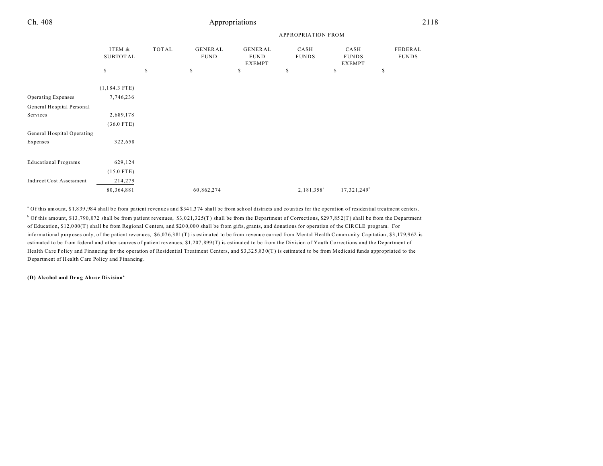|                                 |                           |       | <b>APPROPRIATION FROM</b> |                                         |                      |                                       |                         |
|---------------------------------|---------------------------|-------|---------------------------|-----------------------------------------|----------------------|---------------------------------------|-------------------------|
|                                 | ITEM &<br><b>SUBTOTAL</b> | TOTAL | GENERAL<br><b>FUND</b>    | GENERAL<br><b>FUND</b><br><b>EXEMPT</b> | CASH<br><b>FUNDS</b> | CASH<br><b>FUNDS</b><br><b>EXEMPT</b> | FEDERAL<br><b>FUNDS</b> |
|                                 | \$                        | \$    | \$                        | \$                                      | \$                   | \$                                    | \$                      |
|                                 | $(1,184.3$ FTE)           |       |                           |                                         |                      |                                       |                         |
| Operating Expenses              | 7,746,236                 |       |                           |                                         |                      |                                       |                         |
| General Hospital Personal       |                           |       |                           |                                         |                      |                                       |                         |
| Services                        | 2,689,178                 |       |                           |                                         |                      |                                       |                         |
|                                 | $(36.0$ FTE)              |       |                           |                                         |                      |                                       |                         |
| General Hospital Operating      |                           |       |                           |                                         |                      |                                       |                         |
| Expenses                        | 322,658                   |       |                           |                                         |                      |                                       |                         |
|                                 |                           |       |                           |                                         |                      |                                       |                         |
| <b>Educational Programs</b>     | 629,124                   |       |                           |                                         |                      |                                       |                         |
|                                 | $(15.0$ FTE)              |       |                           |                                         |                      |                                       |                         |
| <b>Indirect Cost Assessment</b> | 214,279                   |       |                           |                                         |                      |                                       |                         |
|                                 | 80, 364, 881              |       | 60,862,274                |                                         | $2,181,358^a$        | $17,321,249^b$                        |                         |
|                                 |                           |       |                           |                                         |                      |                                       |                         |

a Of this amount, \$1,8 39 ,98 4 shall be from patient revenues and \$34 1,3 74 shall be from school districts a nd counties for the operation of residential treatment centers.  $\alpha$  Of this amount, \$13,790,072 shall be from patient revenues, \$3,021,325(T) shall be from the Department of Corrections, \$297,852(T) shall be from the Department of Education, \$12,0 00(T ) shall be from Regional Centers, and \$20 0,00 0 shall be from gifts, grants, and donations for operation of the CIRCLE program. For informational purposes only, of the patient revenues, \$6,076,381 (T) is estimated to be from revenue earned from Mental Health Community Capitation, \$3,179,962 is estimated to be from federal and other sources of patient revenues, \$1,207 ,899 (T) is estimated to be from the Division of Youth Corrections and the Department of Health Care Policy and Financing for the operation of Residential Treatment Centers, and \$3,325,830(T) is estimated to be from Medicaid funds appropriated to the Depa rtment of H ealth Care Policy and Financing.

**(D) Alcohol and Drug Abuse Division4**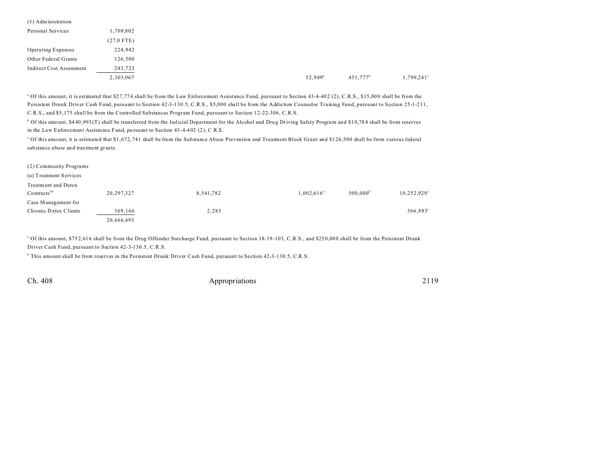| (1) Administration       |              |                  |             |  |
|--------------------------|--------------|------------------|-------------|--|
| Personal Services        | 1,708,802    |                  |             |  |
|                          | $(27.0$ FTE) |                  |             |  |
| Operating Expenses       | 224,942      |                  |             |  |
| Other Federal Grants     | 126,500      |                  |             |  |
| Indirect Cost Assessment | 243,723      |                  |             |  |
|                          | 2,303,967    | $52,949^{\circ}$ | $451,777^b$ |  |
|                          |              |                  |             |  |

<sup>a</sup> Of this amount, it is estimated that \$27,774 shall be from the Law Enforcement Assistance Fund, pursuant to Section 43-4-402 (2), C.R.S., \$15,000 shall be from the Persistent Drunk Driver Cash Fund, pursuant to Section 42-3-130.5, C.R.S., \$5,000 shall be from the Addiction Counselor Training Fund, pursuant to Section 25-1-211, C.R.S., and \$5,175 shall be from the Controlled Substances Program Fund, pursuant to Section 12-22-306, C.R.S.

<sup>b</sup> Of this amount, \$440,993 (T) shall be transferred from the Judicial Department for the Alcohol and Drug Driving Safety Program and \$10,784 shall be from reserves in the Law Enforcement Assista nce Fund, pu rsuant to Section 43 -4-402 (2), C.R.S.

c Of this amount, it is estimated that \$1,672,741 shall be from the Substance Abuse Prevention and Treatment Block Grant and \$126,500 shall be from various federal substance abuse and trea tment grants.

| (2) Community Programs  |            |           |                     |                   |                      |
|-------------------------|------------|-----------|---------------------|-------------------|----------------------|
| (a) Treatment Services  |            |           |                     |                   |                      |
| Treatment and Detox     |            |           |                     |                   |                      |
| Contracts <sup>86</sup> | 20,297,327 | 8,541,782 | $1,002,616^{\circ}$ | $500,000^{\rm b}$ | $10,252.929^{\circ}$ |
| Case Management for     |            |           |                     |                   |                      |
| Chronic Detox Clients   | 369,166    | 2,283     |                     |                   | $366,883^{\circ}$    |
|                         | 20,666,493 |           |                     |                   |                      |

<sup>a</sup> Of this amount, \$752,616 shall be from the Drug Offender Surcharge Fund, pursuant to Section 18-19-103, C.R.S., and \$250,000 shall be from the Persistent Drunk Driver Cash Fund, pursuant to Section 42-3-130.5, C.R.S.

b This amount shall be from reserves in the Persistent Drunk Driver Cash Fund, pursuant to Section 42-3-130.5, C.R.S.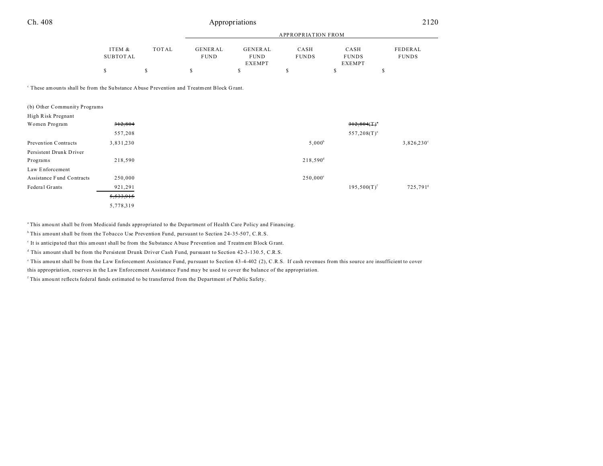| Ch. 408 | Appropriations | 2120 |
|---------|----------------|------|
|         |                |      |

|          |       | APPROPRIATION FROM |               |              |               |              |
|----------|-------|--------------------|---------------|--------------|---------------|--------------|
| ITEM &   | TOTAL | GENERAL            | GENERAL       | CASH         | CASH          | FEDERAL      |
| SUBTOTAL |       | <b>FUND</b>        | <b>FUND</b>   | <b>FUNDS</b> | <b>FUNDS</b>  | <b>FUNDS</b> |
|          |       |                    | <b>EXEMPT</b> |              | <b>EXEMPT</b> |              |
|          |       |                    |               |              |               |              |

These amounts shall be from the Substance Abuse Prevention and Treatment Block Grant.

| (b) Other Community Programs |           |                   |                  |                      |
|------------------------------|-----------|-------------------|------------------|----------------------|
| High Risk Pregnant           |           |                   |                  |                      |
| Women Program                | 312,804   |                   | 312,804(T)       |                      |
|                              | 557,208   |                   | $557,208(T)^{a}$ |                      |
| Prevention Contracts         | 3,831,230 | $5,000^{\rm b}$   |                  | $3,826,230^{\circ}$  |
| Persistent Drunk Driver      |           |                   |                  |                      |
| Programs                     | 218,590   | $218,590^{\rm d}$ |                  |                      |
| Law Enforcement              |           |                   |                  |                      |
| Assistance Fund Contracts    | 250,000   | $250,000^{\circ}$ |                  |                      |
| Federal Grants               | 921,291   |                   | $195,500(T)^f$   | 725,791 <sup>s</sup> |
|                              | 5,533,915 |                   |                  |                      |
|                              | 5,778,319 |                   |                  |                      |

<sup>a</sup> This amount shall be from Medicaid funds appropriated to the Department of Health Care Policy and Financing.

<sup>b</sup> This amount shall be from the Tobacco Use Prevention Fund, pursuant to Section 24-35-507, C.R.S.

It is anticipated that this amount shall be from the Substance Abuse Prevention and Treatment Block Grant.

d This amount shall be from the Persistent Drunk Driver Cash Fund, pursuant to Section 42-3-130.5, C.R.S.

This amount shall be from the Law Enforcement Assistance Fund, pursuant to Section 43-4-402 (2), C.R.S. If cash revenues from this source are insufficient to cover

this appropriation, reserves in the Law Enforcement Assistance Fund may be used to cover the balance of the appropriation.

f This amou nt reflects federal funds estimated to be transferred from the Department of Public Safety.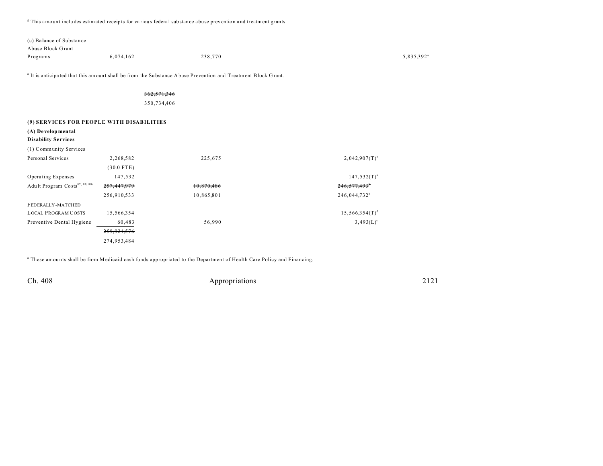<sup>g</sup> This amount includes estimated receipts for various federal substance abuse prevention and treatment grants.

| (c) Balance of Substance |           |         |                        |
|--------------------------|-----------|---------|------------------------|
| Abuse Block Grant        |           |         |                        |
| Programs                 | 6,074,162 | 238,770 | 5,835,392 <sup>a</sup> |

<sup>a</sup> It is anticipated that this amount shall be from the Substance Abuse Prevention and Treatment Block Grant.

## 362,571,346

350,734,406

## **(9) SERVICES FOR PEOPLE WITH DISABILITIES**

## **(A) De velopmental**

| <b>Disability Services</b> |  |
|----------------------------|--|
|----------------------------|--|

| (1) Community Services                     |              |            |                            |
|--------------------------------------------|--------------|------------|----------------------------|
| Personal Services                          | 2,268,582    | 225,675    | $2,042.907(T)^{a}$         |
|                                            | $(30.0$ FTE) |            |                            |
| Operating Expenses                         | 147,532      |            | $147,532(T)^{a}$           |
| Adult Program Costs <sup>87, 88, 88a</sup> | 257,447,979  | 10,870,486 | $246,577,493$ <sup>*</sup> |
|                                            | 256,910,533  | 10,865,801 | 246,044,732 <sup>b</sup>   |
| FEDERALLY-MATCHED                          |              |            |                            |
| <b>LOCAL PROGRAM COSTS</b>                 | 15,566,354   |            | $15,566,354(T)^d$          |
| Preventive Dental Hygiene                  | 60,483       | 56,990     | $3,493(L)$ <sup>c</sup>    |
|                                            | 259,924,576  |            |                            |
|                                            | 274,953,484  |            |                            |

a These amou nts shall be from Medicaid cash funds appropriated to the Department of Health Care Policy and Financing.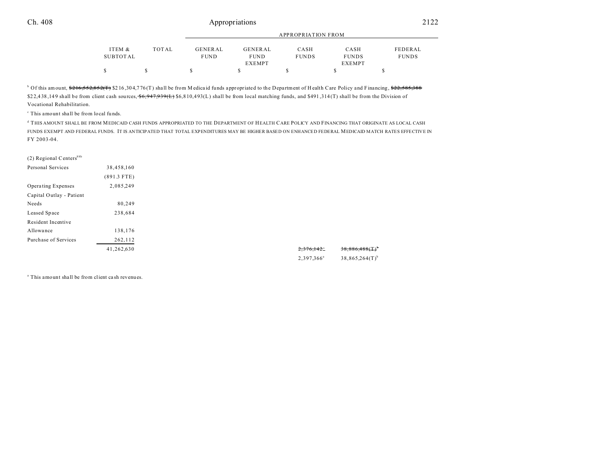|          |       |             | APPROPRIATION FROM |              |               |              |  |
|----------|-------|-------------|--------------------|--------------|---------------|--------------|--|
| ITEM &   | TOTAL | GENERAL     | <b>GENERAL</b>     | CASH         | CASH          | FEDERAL      |  |
| SUBTOTAL |       | <b>FUND</b> | <b>FUND</b>        | <b>FUNDS</b> | <b>FUNDS</b>  | <b>FUNDS</b> |  |
|          |       |             | <b>EXEMPT</b>      |              | <b>EXEMPT</b> |              |  |
| S        |       |             |                    |              |               |              |  |

<sup>b</sup> Of this amount, \$<del>216,552,852(T)</del> \$216,304,776(T) shall be from M edicaid funds appropriated to the Department of Health Care Policy and Financing, \$<del>22,585,388</del> \$22,438,149 shall be from client cash sources,  $\frac{6,947,939(L)}{6,810,493(L)}$  \$6,810,493(L) shall be from local matching funds, and \$491,314(T) shall be from the Division of Vocational Rehabilitation.

c This amount shall be from local fu nds.

d THIS AMOUNT SHALL BE FROM MEDICAID CASH FUNDS APPROPRIATED TO THE DEPARTMENT OF HEALTH CARE POLICY AND FINANCING THAT ORIGINATE AS LOCAL CASH FUNDS EXEMPT AND FEDERAL FUNDS. IT IS ANTICIPATED THAT TOTAL EXPENDITURES MAY BE HIGHER BASED ON ENHANCED FEDERAL MEDICAID MATCH RATES EFFECTIVE IN FY 2003-04.

| (2) Regional Centers <sup>88b</sup> |               |
|-------------------------------------|---------------|
| Personal Services                   | 38,458,160    |
|                                     | $(891.3$ FTE) |
| Operating Expenses                  | 2,085,249     |
| Capital Outlay - Patient            |               |
| Needs                               | 80,249        |
| Leased Space                        | 238,684       |
| Resident Incentive                  |               |
| Allowance                           | 138,176       |
| Purchase of Services                | 262,112       |
|                                     | 41,262,630    |
|                                     |               |

a This amount shall be from client ca sh revenues.

 $38,886,488(T)$ <sup>b</sup>

 $38,865,264(T)$ <sup>b</sup>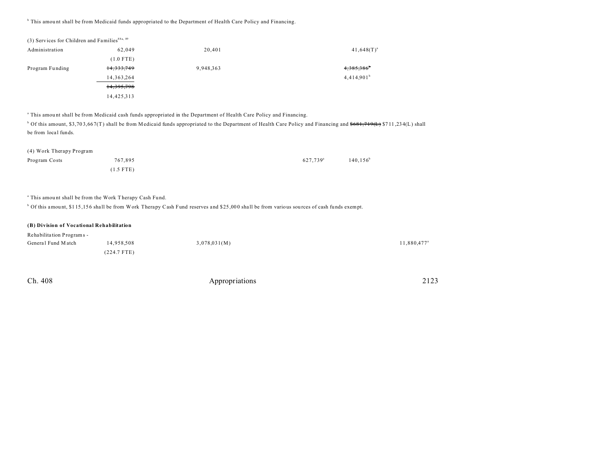<sup>b</sup> This amount shall be from Medicaid funds appropriated to the Department of Health Care Policy and Financing.

| (3) Services for Children and Families <sup>88a, 89</sup> |              |           |                          |
|-----------------------------------------------------------|--------------|-----------|--------------------------|
| Administration                                            | 62.049       | 20,401    | $41,648(T)^{a}$          |
|                                                           | $(1.0$ FTE)  |           |                          |
| Program Funding                                           | 14, 333, 749 | 9,948,363 | $4,385,386$ <sup>6</sup> |
|                                                           | 14, 363, 264 |           | 4,414.901 <sup>b</sup>   |
|                                                           | 14,395,798   |           |                          |
|                                                           | 14,425,313   |           |                          |

a This amou nt shall be from Medicaid cash funds appropriated in the Department of Health Care Policy and Financing.

<sup>b</sup> Of this amount, \$3,703,667(T) shall be from Medicaid funds appropriated to the Department of Health Care Policy and Financing and <del>\$681,719(L)</del> \$711,234(L) shall be from local funds.

| (4) Work Therapy Program |             |                      |             |
|--------------------------|-------------|----------------------|-------------|
| Program Costs            | 767.895     | 627.739 <sup>a</sup> | $140.156^b$ |
|                          | $(1.5$ FTE) |                      |             |

<sup>a</sup> This amount shall be from the Work Therapy Cash Fund.

<sup>b</sup> Of this amount, \$115,156 shall be from Work Therapy Cash Fund reserves and \$25,000 shall be from various sources of cash funds exempt.

| (B) Division of Vocational Rehabilitation |               |              |                         |
|-------------------------------------------|---------------|--------------|-------------------------|
| Rehabilitation Programs -                 |               |              |                         |
| General Fund Match                        | 14.958.508    | 3,078,031(M) | 11,880,477 <sup>a</sup> |
|                                           | $(224.7$ FTE) |              |                         |

| Ch. 408 | Appropriations | 2123 |
|---------|----------------|------|
|         |                |      |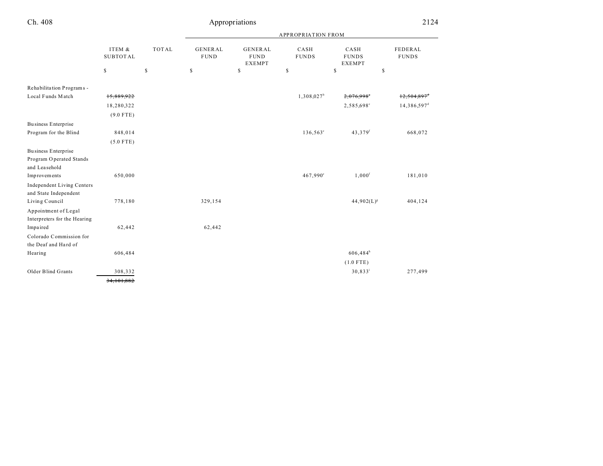|                                   |                           |              |                               |                                                | <b>APPROPRIATION FROM</b> |                                       |                         |
|-----------------------------------|---------------------------|--------------|-------------------------------|------------------------------------------------|---------------------------|---------------------------------------|-------------------------|
|                                   | ITEM &<br><b>SUBTOTAL</b> | <b>TOTAL</b> | <b>GENERAL</b><br><b>FUND</b> | <b>GENERAL</b><br><b>FUND</b><br><b>EXEMPT</b> | CASH<br><b>FUNDS</b>      | CASH<br><b>FUNDS</b><br><b>EXEMPT</b> | FEDERAL<br><b>FUNDS</b> |
|                                   | \$                        | \$           | \$                            | \$                                             | \$                        | \$<br>\$                              |                         |
| Rehabilitation Programs -         |                           |              |                               |                                                |                           |                                       |                         |
| Local Funds Match                 | 15,889,922                |              |                               |                                                | $1,308,027^b$             | 2,076,998°                            | 12,504,89               |
|                                   | 18,280,322                |              |                               |                                                |                           | 2,585,698°                            | 14,386,597 <sup>d</sup> |
|                                   | $(9.0$ FTE)               |              |                               |                                                |                           |                                       |                         |
| Business Enterprise               |                           |              |                               |                                                |                           |                                       |                         |
| Program for the Blind             | 848,014                   |              |                               |                                                | $136,563^{\circ}$         | 43,379f                               | 668,072                 |
|                                   | $(5.0$ FTE)               |              |                               |                                                |                           |                                       |                         |
| Business Enterprise               |                           |              |                               |                                                |                           |                                       |                         |
| Program Operated Stands           |                           |              |                               |                                                |                           |                                       |                         |
| and Leasehold                     |                           |              |                               |                                                |                           |                                       |                         |
| Improvements                      | 650,000                   |              |                               |                                                | 467,990°                  | $1,000$ <sup>f</sup>                  | 181,010                 |
| <b>Independent Living Centers</b> |                           |              |                               |                                                |                           |                                       |                         |
| and State Independent             |                           |              |                               |                                                |                           |                                       |                         |
| Living Council                    | 778,180                   |              | 329,154                       |                                                |                           | $44,902(L)^{s}$                       | 404,124                 |
| Appointment of Legal              |                           |              |                               |                                                |                           |                                       |                         |
| Interpreters for the Hearing      |                           |              |                               |                                                |                           |                                       |                         |
| Impaired                          | 62,442                    |              | 62,442                        |                                                |                           |                                       |                         |
| Colorado Commission for           |                           |              |                               |                                                |                           |                                       |                         |
| the Deaf and Hard of              |                           |              |                               |                                                |                           |                                       |                         |
| Hearing                           | 606,484                   |              |                               |                                                |                           | $606,484^h$                           |                         |
|                                   |                           |              |                               |                                                |                           | $(1.0$ FTE)                           |                         |
| Older Blind Grants                | 308,332                   |              |                               |                                                |                           | $30,833^i$                            | 277,499                 |
|                                   | 34, 101, 882              |              |                               |                                                |                           |                                       |                         |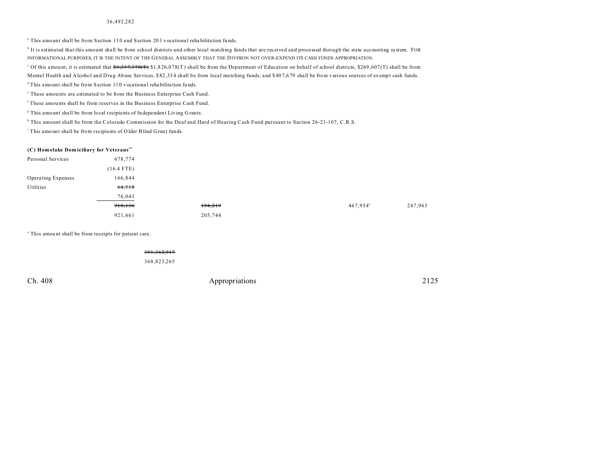#### 36,492,282

<sup>a</sup> This amount shall be from Section 110 and Section 203 vocational rehabilitation funds.

<sup>b</sup> It is estimated that this amount shall be from school districts and other local matching funds that are received and processed through the state accounting system. FOR INFORMATIONAL PURPOSES, IT IS THE INTENT OF THE GENERAL ASSEMBLY THAT THE DIVISION NOT OVER-EXPEND ITS CASH FUNDS APPROPRIATION.

<sup>c</sup> Of this amount, it is estimated that  $\frac{41}{317}$ ,  $\frac{317}{378}$  (T)  $\frac{41}{317}$ ,  $\frac{318}{36}$  (0.78(T) shall be from the Department of Education on behalf of school districts, \$269,607(T) shall be from Mental Health and Alcohol and Drug Abuse Services, \$82,334 shall be from local matching funds, and \$407,679 shall be from various sources of exempt cash funds.

 $d$ This amount shall be from Section 110 vocational rehabilitation funds.

e These amou nts are estimated to be from the Business Enterprise Cash Fund.

f These amou nts shall be from reserves in the Business Enterprise Cash Fund.

<sup>8</sup> This amount shall be from local recipients of Independent Living Grants.

h This amount shall be from the Colorado Commission for the Deaf and Hard of Hearing Cash Fund pursuant to Section 26-21-107, C.R.S.

<sup>i</sup> This amount shall be from recipients of Older Blind Grant funds.

#### **(C) Hom elake Dom iciliary for Veterans**<sup>90</sup>

| Personal Services  | 678,774      |         |                   |         |
|--------------------|--------------|---------|-------------------|---------|
|                    | $(16.4$ FTE) |         |                   |         |
| Operating Expenses | 166,844      |         |                   |         |
| Utilities          | 64,518       |         |                   |         |
|                    | 76,043       |         |                   |         |
|                    | 910,136      | 194,219 | $467,954^{\circ}$ | 247,963 |
|                    | 921,661      | 205,744 |                   |         |
|                    |              |         |                   |         |

<sup>a</sup> This amount shall be from receipts for patient care.

351,362,917

368,823,265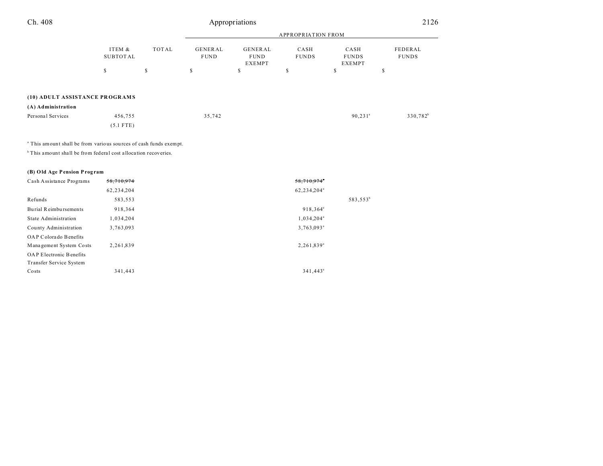|                                                      | ITEM &<br>SUBTOTAL     |                                        |                                                                        |    | <b>APPROPRIATION FROM</b>             |                         |             |
|------------------------------------------------------|------------------------|----------------------------------------|------------------------------------------------------------------------|----|---------------------------------------|-------------------------|-------------|
|                                                      |                        | <b>GENERAL</b><br>TOTAL<br><b>FUND</b> | <b>GENERAL</b><br>CASH<br><b>FUNDS</b><br><b>FUND</b><br><b>EXEMPT</b> |    | CASH<br><b>FUNDS</b><br><b>EXEMPT</b> | FEDERAL<br><b>FUNDS</b> |             |
|                                                      | \$                     | S                                      | s                                                                      | \$ | S                                     | \$                      | \$          |
| (10) ADULT ASSISTANCE PROGRAMS<br>(A) Administration |                        |                                        |                                                                        |    |                                       |                         |             |
| Personal Services                                    | 456,755<br>$(5.1$ FTE) |                                        | 35,742                                                                 |    |                                       | $90, 231$ <sup>a</sup>  | $330,782^b$ |

<sup>a</sup> This amount shall be from various sources of cash funds exempt.

 $<sup>b</sup>$  This amount shall be from federal cost allocation recoveries.</sup>

## **(B) Old Age Pension Prog ram**

| Cash Assistance Programs       | 58,710,974 | 58,710,974              |             |
|--------------------------------|------------|-------------------------|-------------|
|                                | 62,234,204 | 62,234,204 <sup>ª</sup> |             |
| Refunds                        | 583,553    |                         | $583,553^b$ |
| Burial Reimbursements          | 918,364    | 918,364 <sup>ª</sup>    |             |
| State Administration           | 1,034,204  | 1,034,204 <sup>a</sup>  |             |
| County Administration          | 3,763,093  | 3,763,093 <sup>a</sup>  |             |
| OAP Colorado Benefits          |            |                         |             |
| Management System Costs        | 2,261,839  | 2,261,839 <sup>a</sup>  |             |
| <b>OAP</b> Electronic Benefits |            |                         |             |
| Transfer Service System        |            |                         |             |
| Costs                          | 341,443    | 341,443 <sup>a</sup>    |             |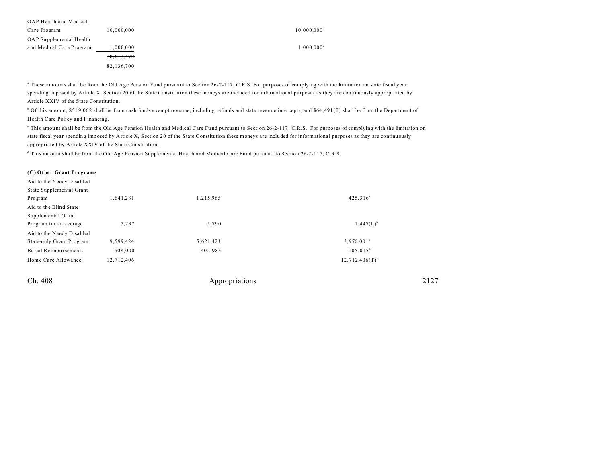| OAP Health and Medical   |            |                           |
|--------------------------|------------|---------------------------|
| Care Program             | 10,000,000 | $10,000,000$ <sup>c</sup> |
| OAP Supplemental Health  |            |                           |
| and Medical Care Program | 000,000,   | $1,000,000$ <sup>d</sup>  |
|                          | 78,613,470 |                           |
|                          | 82,136,700 |                           |

<sup>a</sup> These amounts shall be from the Old Age Pension Fund pursuant to Section 26-2-117, C.R.S. For purposes of complying with the limitation on state fiscal year spending imposed by Article X, Section 20 of the State Constitution these moneys are included for informational purposes as they are continuously appropriated by Article XXIV of the State Constitution.

 $^{\circ}$  Of this amount, \$519,062 shall be from cash funds exempt revenue, including refunds and state revenue intercepts, and \$64,491 (T) shall be from the Department of Health Care Policy and Financing.

This amount shall be from the Old Age Pension Health and Medical Care Fund pursuant to Section 26-2-117, C.R.S. For purposes of complying with the limitation on state fiscal year spending imposed by Article X, Section 20 of the State Constitution these moneys are included for informational purposes as they are continuously appropriated by Article XXIV of the State Constitution.

d This amount shall be from the Old Age Pension Supplemental Health and Medical Care Fund pursuant to Section 26-2-117, C.R.S.

#### **(C) Other Grant Programs**

| Aid to the Needy Disabled |            |           |                     |
|---------------------------|------------|-----------|---------------------|
| State Supplemental Grant  |            |           |                     |
| Program                   | .641.281   | 1,215,965 | $425,316^a$         |
| Aid to the Blind State    |            |           |                     |
| Supplemental Grant        |            |           |                     |
| Program for an average    | 7,237      | 5,790     | $1,447(L)^{b}$      |
| Aid to the Needy Disabled |            |           |                     |
| State-only Grant Program  | 9,599,424  | 5,621,423 | $3,978,001^{\circ}$ |
| Burial Reimbursements     | 508,000    | 402,985   | $105,015^d$         |
| Home Care Allowance       | 12,712,406 |           | $12,712,406(T)^e$   |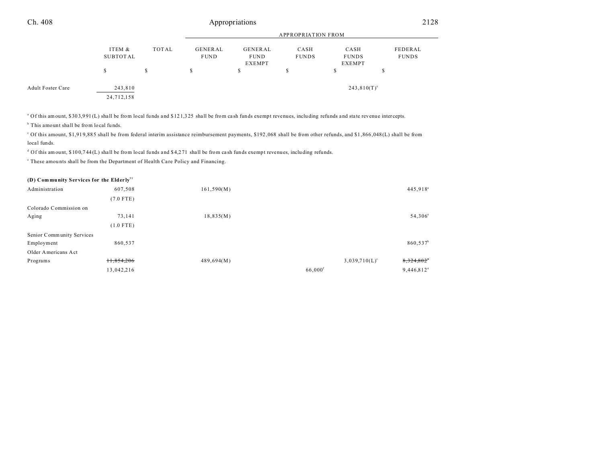|                          |                       | APPROPRIATION FROM |                                                                                           |  |    |                                |                         |
|--------------------------|-----------------------|--------------------|-------------------------------------------------------------------------------------------|--|----|--------------------------------|-------------------------|
|                          | ITEM &<br>SUBTOTAL    | TOTAL              | GENERAL<br>GENERAL<br>CASH<br><b>FUNDS</b><br><b>FUND</b><br><b>FUND</b><br><b>EXEMPT</b> |  |    | CASH<br><b>FUNDS</b><br>EXEMPT | FEDERAL<br><b>FUNDS</b> |
|                          | S                     | \$                 | S                                                                                         |  | .Ъ | э                              |                         |
| <b>Adult Foster Care</b> | 243,810<br>24,712,158 |                    |                                                                                           |  |    | $243,810(T)^e$                 |                         |

<sup>a</sup> Of this amount, \$303,991 (L) shall be from local funds and \$121,325 shall be from cash funds exempt revenues, including refunds and state revenue intercepts.

<sup>b</sup> This amount shall be from local funds.

c Of this amount, \$1,91 9,88 5 shall be from federal interim assistance reimbursement payments, \$192 ,068 shall be from other refunds, and \$1 ,866 ,048 (L) shall be from local funds.

 $d$  Of this amount, \$100,744(L) shall be from local funds and \$4,271 shall be from cash funds exempt revenues, including refunds.

<sup>e</sup> These amounts shall be from the Department of Health Care Policy and Financing.

| (D) Community Services for the Elderly <sup>91</sup> |  |
|------------------------------------------------------|--|
|------------------------------------------------------|--|

| 607,508                   | 161,590(M) |                       | 445,918 <sup>a</sup> |
|---------------------------|------------|-----------------------|----------------------|
| $(7.0$ FTE)               |            |                       |                      |
| Colorado Commission on    |            |                       |                      |
| 73,141                    | 18,835(M)  |                       | 54,306 <sup>a</sup>  |
| $(1.0$ FTE)               |            |                       |                      |
| Senior Community Services |            |                       |                      |
| 860,537                   |            |                       | 860,537 <sup>b</sup> |
|                           |            |                       |                      |
| 11,854,206                | 489,694(M) | $3,039,710(L)^c$      | 8,324,802*           |
| 13,042,216                |            | $66,000$ <sup>f</sup> | $9,446,812^a$        |
|                           |            |                       |                      |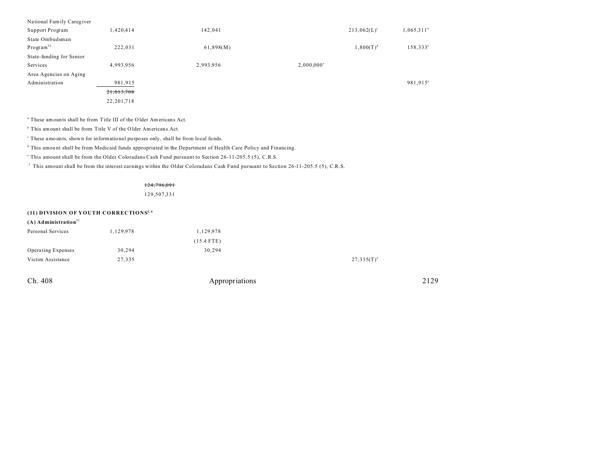| National Family Caregiver |              |           |                          |                |                      |
|---------------------------|--------------|-----------|--------------------------|----------------|----------------------|
| Support Program           | 1,420,414    | 142,041   |                          | $213,062(L)^c$ | $1,065,311^a$        |
| State Ombudsman           |              |           |                          |                |                      |
| Program <sup>92</sup>     | 222,031      | 61,898(M) |                          | $1,800(T)^d$   | 158,333 <sup>ª</sup> |
| State-funding for Senior  |              |           |                          |                |                      |
| Services                  | 4,993,956    | 2,993,956 | $2,000,000$ <sup>c</sup> |                |                      |
| Area Agencies on Aging    |              |           |                          |                |                      |
| Administration            | 981,915      |           |                          |                | 981,915 <sup>a</sup> |
|                           | 21,013,708   |           |                          |                |                      |
|                           | 22, 201, 718 |           |                          |                |                      |

a These amounts shall be from Title III of the O lder Americans Act.

<sup>b</sup> This amount shall be from Title V of the Older Americans Act.

<sup>c</sup> These amounts, shown for informational purposes only, shall be from local funds.

d This amou nt shall be from Medicaid funds appropriated in the Department of Health Care Policy and Financing.

e This amount shall be from the Older Coloradans Cash Fund pursuant to Section 26-11-205.5 (5), C.R.S.

f This amount shall be from the interest earnings within the Older Coloradans Cash Fund pursuant to Section 26-11-205.5 (5), C.R.S.

### 124,796,091

129,507,331

# **(11) DIVISION OF YOUTH CORRECTIONS4, 8**

| $(A)$ Administration <sup>93</sup> |           |              |                 |
|------------------------------------|-----------|--------------|-----------------|
| Personal Services                  | 1,129,978 | 1,129,978    |                 |
|                                    |           | $(15.4$ FTE) |                 |
| Operating Expenses                 | 30,294    | 30,294       |                 |
| Victim Assistance                  | 27,335    |              | $27,335(T)^{a}$ |
|                                    |           |              |                 |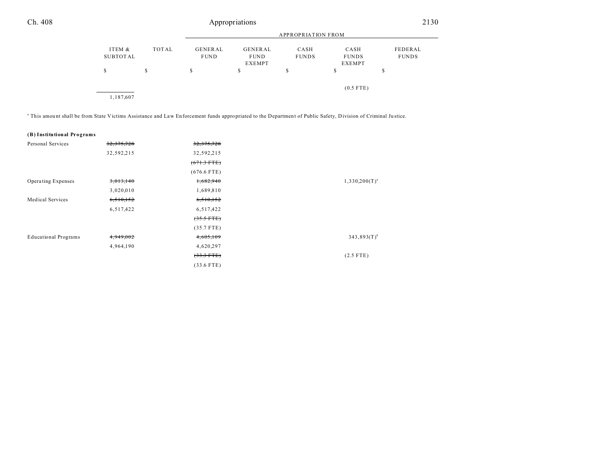|                    |       |                        |                                         | APPROPRIATION FROM   |                                       |                         |
|--------------------|-------|------------------------|-----------------------------------------|----------------------|---------------------------------------|-------------------------|
| ITEM &<br>SUBTOTAL | TOTAL | GENERAL<br><b>FUND</b> | GENERAL<br><b>FUND</b><br><b>EXEMPT</b> | CASH<br><b>FUNDS</b> | CASH<br><b>FUNDS</b><br><b>EXEMPT</b> | FEDERAL<br><b>FUNDS</b> |
| S                  | S     | S                      | S                                       | ъ                    | \$                                    | S                       |
| 1,187,607          |       |                        |                                         |                      | $(0.5$ FTE)                           |                         |

This amount shall be from State Victims Assistance and Law Enforcement funds appropriated to the Department of Public Safety, Division of Criminal Justice.

| (B) Institutional Programs |  |
|----------------------------|--|
|----------------------------|--|

| Personal Services           | 32, 375, 728 | 32, 375, 728         |                           |
|-----------------------------|--------------|----------------------|---------------------------|
|                             | 32,592,215   | 32,592,215           |                           |
|                             |              | $(671.3$ FTE)        |                           |
|                             |              | $(676.6$ FTE)        |                           |
| Operating Expenses          | 3,013,140    | 1,682,940            | $1,330,200(T)^{a}$        |
|                             | 3,020,010    | 1,689,810            |                           |
| Medical Services            | 6,510,152    | 6,510,152            |                           |
|                             | 6,517,422    | 6,517,422            |                           |
|                             |              | $(35.5 \text{ FTE})$ |                           |
|                             |              | $(35.7$ FTE)         |                           |
| <b>Educational Programs</b> | 4,949,002    | 4,605,109            | $343,893(T)$ <sup>b</sup> |
|                             | 4,964,190    | 4,620,297            |                           |
|                             |              | $(33.3 \text{ FTE})$ | $(2.5$ FTE)               |
|                             |              | $(33.6$ FTE)         |                           |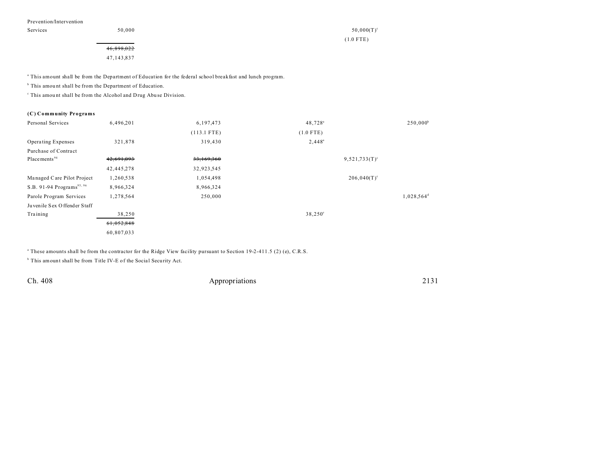Prevention/Intervention

Services  $50,000$  50,000  $50,000$ 

(1.0 FTE)

46,898,022

47,143,837

a This amount shall be from the Department of Education for the federal school breakfast and lunch program.

<sup>b</sup> This amount shall be from the Department of Education.

<sup>c</sup> This amount shall be from the Alcohol and Drug Abuse Division.

## **(C) Community Programs**

| Personal Services                     | 6,496,201    | 6,197,473     | 48,728 <sup>ª</sup> | $250,000^b$            |
|---------------------------------------|--------------|---------------|---------------------|------------------------|
|                                       |              | $(113.1$ FTE) | $(1.0$ FTE)         |                        |
| <b>Operating Expenses</b>             | 321,878      | 319,430       | $2,448^a$           |                        |
| Purchase of Contract                  |              |               |                     |                        |
| Placements <sup>94</sup>              | 42,691,093   | 33,169,360    |                     | $9,521,733(T)^c$       |
|                                       | 42, 445, 278 | 32,923,545    |                     |                        |
| Managed Care Pilot Project            | 1,260,538    | 1,054,498     |                     | $206,040(T)^c$         |
| S.B. 91-94 Programs <sup>95, 96</sup> | 8,966,324    | 8,966,324     |                     |                        |
| Parole Program Services               | 1,278,564    | 250,000       |                     | 1,028,564 <sup>d</sup> |
| Juvenile Sex Offender Staff           |              |               |                     |                        |
| Training                              | 38,250       |               | $38,250^{\circ}$    |                        |
|                                       | 61,052,848   |               |                     |                        |
|                                       | 60,807,033   |               |                     |                        |

a These amounts shall be from the contractor for the Ridge View facility pursuant to Section 19-2-411.5 (2) (e), C.R.S.

<sup>b</sup> This amount shall be from Title IV-E of the Social Security Act.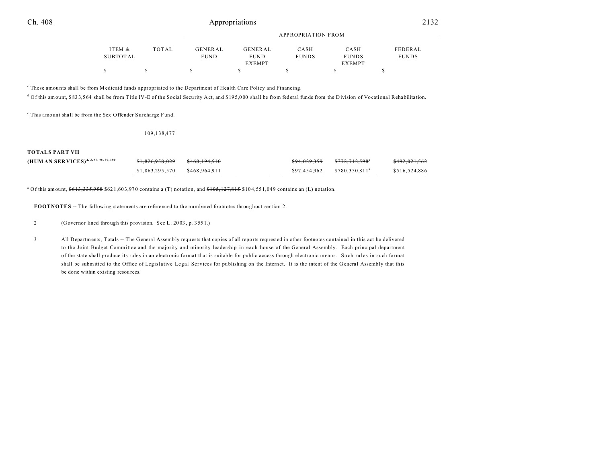|          |       |             |               | APPROPRIATION FROM |               |              |
|----------|-------|-------------|---------------|--------------------|---------------|--------------|
|          |       |             |               |                    |               |              |
| ITEM &   | TOTAL | GENERAL     | GENERAL       | CASH               | CASH          | FEDERAL      |
| SUBTOTAL |       | <b>FUND</b> | <b>FUND</b>   | <b>FUNDS</b>       | <b>FUNDS</b>  | <b>FUNDS</b> |
|          |       |             | <b>EXEMPT</b> |                    | <b>EXEMPT</b> |              |
|          |       |             |               |                    |               |              |

c These amou nts shall be from Medicaid funds appropriated to the Department of Health Care Policy and Financing.

<sup>d</sup> Of this amount, \$833,564 shall be from Title IV-E of the Social Security Act, and \$195,000 shall be from federal funds from the Division of Vocational Rehabilitation.

<sup>e</sup> This amount shall be from the Sex Offender Surcharge Fund.

109,138,477

### **TOTALS PART VII**

| $(HUM AN SER VICES)^{2, 3, 97, 98, 99, 100}$ | <del>\$1,826,958,029</del>      | <del>\$468,194,510</del> | \$94.029.359 | <del>\$772.712.598</del> *     | \$492,021,562 |
|----------------------------------------------|---------------------------------|--------------------------|--------------|--------------------------------|---------------|
|                                              | $$1,863,295,570$ $$468,964,911$ |                          |              | $$97,454,962$ $$780,350,811^a$ | \$516,524,886 |

<sup>a</sup> Of this amount, <del>\$613,335,958</del> \$621,603,970 contains a (T) notation, and <del>\$105,127,815</del> \$104,551,049 contains an (L) notation.

**FOOTNOTES** -- The following statements are referenced to the numbered footnotes throughout section 2.

2 (Governor lined through this provision. See L. 20 03 , p. 355 1.)

3 All Depa rtments, Tota ls -- The General Assembly requ ests that copies of all reports requested in other footnotes contained in this act be delivered to the Joint Budget Committee and the majority and minority leadership in each house of the General Assembly. Each principal department of the state shall produce its rules in an electronic format that is suitable for public access through electronic means. Such rules in such format shall be submitted to the Office of Legislative Legal Services for publishing on the Internet. It is the intent of the G eneral Assembly that this be done within existing resources.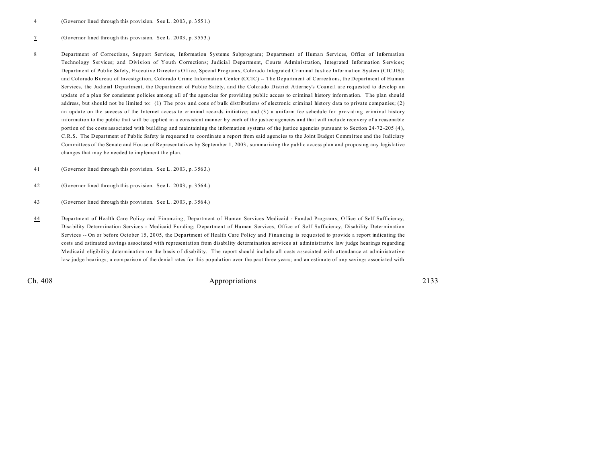## 7 (Governor lined through this provision. See L. 20 03 , p. 355 3.)

8 Department of Corrections, Support Services, Information Systems Subprogram; Department of Human Services, Office of Information Technology Services; and Division of Youth Corrections; Judicial Department, Courts Administration, Integrated Information Services; Department of Public Safety, Executive Director's Office, Special Programs, Colorado Integrated Criminal Ju stice Information System (CICJIS); and Colorado Bureau of Investigation, Colorado Crime Information Center (CCIC) -- The Department of Corrections, the Department of Human Services, the Judicial Department, the Department of Public Safety, and the Colorado District Attorney's Council are requested to develop an update of a plan for consistent policies among all of the agencies for providing public access to criminal history information. The plan should address, but should not be limited to: (1) The pros and cons of bulk distributions of electronic criminal history data to private companies; (2) an update on the success of the Internet access to criminal records initiative; and (3) a uniform fee schedule for providing criminal history information to the public that will be applied in a consistent manner by each of the justice agencies and that will include recovery of a reasonable portion of the costs associated with building and maintaining the information systems of the justice agencies pursuant to Section 24-72-205 (4), C.R.S. The Department of Public Safety is requested to coordinate a report from said agencies to the Joint Budget Committee and the Judiciary Committees of the Senate and Hou se of Representatives by September 1, 2003 , summarizing the public access plan and proposing any legislative changes that may be needed to implement the plan.

41 (Governor lined through this provision. See L. 20 03 , p. 356 3.)

42 (Governor lined through this provision. See L. 20 03 , p. 356 4.)

- 43 (Governor lined through this provision. See L. 20 03 , p. 356 4.)
- 44 Department of Health Care Policy and Financing, Department of Human Services Medicaid Funded Programs, Office of Self Sufficiency, Disability Determination Services - Medicaid Funding; Department of Human Services, Office of Self Sufficiency, Disability Determination Services -- On or before October 15, 2005, the Department of Health Care Policy and Financing is requested to provide a report indicating the costs and estimated savings associated with representation from disability determination services at administrative law judge hearings regarding Medicaid eligibility determination on the basis of disability. The report should include all costs associated with attendance at administrative law judge hearings; a comparison of the denial rates for this population over the past three years; and an estimate of any savings associated with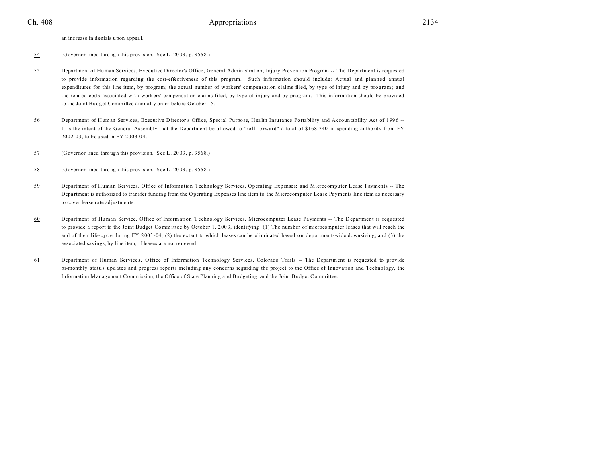## Ch. 408 2134

an increase in denials u pon appea l.

- 54 (Governor lined through this provision. See L. 20 03 , p. 356 8.)
- 55 Department of Human Services, Executive Director's Office, General Administration, Injury Prevention Program -- The Department is requested to provide information regarding the cost-effectiveness of this program. Such information should include: Actual and planned annual expenditures for this line item, by program; the actual number of workers' compensation claims filed, by type of injury and by program; and the related costs associated with workers' compensation claims filed, by type of injury and by program. This information should be provided to the Joint Budget Committee annually on or before October 15.
- 56 Department of Human Services, Executive Director's Office, Special Purpose, Health Insurance Portability and Accountability Act of 1996 --It is the intent of the General Assembly that the Department be allowed to "roll-forward" a total of \$168,740 in spending authority from FY 2002-03, to be used in FY 2003-04.
- 57 (Governor lined through this provision. See L. 20 03 , p. 356 8.)
- 58 (Governor lined through this provision. See L. 20 03 , p. 356 8.)
- 59 Department of Human Services, Office of Information Technology Services, Operating Expenses; and Microcomputer Lease Payments -- The Department is authorized to transfer funding from the Operating Expenses line item to the Microcomputer Lease Payments line item as necessary to cover lea se rate adjustments.
- 60 Department of Human Service, Office of Information Technology Services, Microcomputer Lease Payments -- The Department is requested to provide a report to the Joint Budget Comm ittee by October 1, 200 3, identifying: (1) The number of microcomputer leases that will reach the end of their life-cycle during FY 2 003 -04; (2) the extent to which leases can be eliminated based on department-wide downsizing; and (3) the associated savings, by line item, if leases are not renewed.
- 61 Department of Human Services, Office of Information Technology Services, Colorado Trails -- The Department is requested to provide bi-monthly status updates and progress reports including any concerns regarding the project to the Office of Innovation and Technology, the Information M anagement Commission, the Office of State Planning a nd Bu dgeting, and the Joint Budget Committee.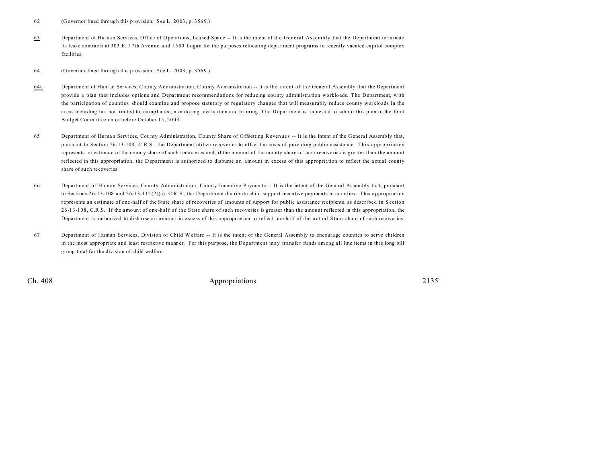62 (Governor lined through this provision. See L. 20 03 , p. 356 9.)

63 Department of Human Services, Office of Operations, Leased Space -- It is the intent of the General Assembly that the Department terminate its lease contracts at 303 E. 17th Avenue and 1580 Logan for the purposes relocating department programs to recently vacated capitol complex facilities.

64 (Governor lined through this provision. See L. 20 03 , p. 356 9.)

- 64a Department of Human Services, County Administra tion, County Administra tion -- It is the intent of th e General Assembly that the Department provide a plan that includes options and Department recommendations for reducing county administration workloads. The Department, with the participation of counties, should examine and propose statutory or regulatory changes that will measurably reduce county workloads in the areas inclu ding but not limited to, compliance, monitoring, eva lua tion a nd training. T he Department is requested to submit this plan to the Joint Budget Committee on or before October 15, 2003.
- 65 Department of Human Services, County Administration, County Share of Offsetting Revenues -- It is the intent of the General Assembly that, pursuant to Section 26-13-108 , C.R.S., the Department utilize recoveries to offset the costs of providing public assistance. This appropriation represents an estimate of the county share of such recoveries and, if the amount of the county share of such recoveries is greater than the amount reflected in this appropriation, the Department is authorized to disburse an amount in excess of this appropriation to reflect the actual county share of su ch recoveries.
- 66 Department of Human Services, County Administration, County Incentive Payments -- It is the intent of the General Assembly that, pursuant to Sections  $26-13-108$  and  $26-13-112(2)(c)$ , C.R.S., the Department distribute child support incentive payments to counties. This appropriation represents an estimate of one-half of the State share of recoveries of amounts of support for public assistance recipients, as described in S ection 26-13-108, C.R.S. If the amount of one-half of the State share of such recoveries is greater than the amount reflected in this appropriation, the Department is authorized to disburse an amount in excess of this appropriation to reflect one-half of the actual State share of such recoveries.
- 67 Department of Human Services, Division of Child W elfare -- It is the intent of the General Assembly to encourage counties to serve children in the most appropriate and least restrictive manner. For this purpose, the Department may transfer funds among a ll line items in this long bill group total for the division of child welfare.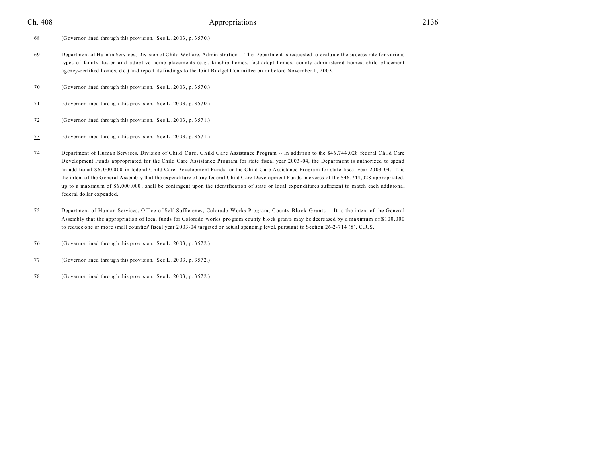## Ch. 408 2136 **Appropriations** 2136

- 68 (Governor lined through this provision. See L. 20 03 , p. 357 0.)
- 69 Department of Human Services, Division of Child Welfare, Administra tion -- The Department is requested to evalu ate the su ccess rate for various types of family foster and adoptive home placements (e.g., kinship homes, fost-adopt homes, county-administered homes, child placement agency-certified homes, etc.) and report its findings to the Joint Budget Committee on or before November 1, 2003.
- 70 (Governor lined through this provision. See L. 20 03 , p. 357 0.)
- 71 (Governor lined through this provision. See L. 20 03 , p. 357 0.)
- 72 (Governor lined through this provision. See L. 20 03 , p. 357 1.)
- 73 (Governor lined through this provision. See L. 20 03 , p. 357 1.)
- 74 Department of Human Services, Division of Child Care, Child Care Assistance Program -- In addition to the \$46,744,028 federal Child Care D evelopment Funds appropriated for the Child Care Assistance Program for state fiscal year 2003 -04, the Department is authorized to spend an additional \$6,000,000 in federal Child Care D evelopment Funds for the Child Care Assistance Program for state fiscal year 2003-04. It is the intent of the General Assembly tha t the expenditure of any federal Child Care Development Funds in excess of the \$46 ,744 ,028 appropriated, up to a ma ximum of \$6 ,000 ,000 , shall be contingent upon the identification of state or local expenditures sufficient to match each additional federal dollar expended.
- 75 Department of Human Services, Office of Self Sufficiency, Colorado Works Program, County Block Grants -- It is the intent of the General Assembly that the appropriation of local funds for Colorado works program county block grants may be decreased by a maximum of \$100,000 to reduce one or more small counties' fiscal year 2003-04 targeted or actual spending level, pursuant to Section 26-2-714 (8), C.R.S.
- 76 (Governor lined through this provision. See L. 20 03 , p. 357 2.)
- 77 (Governor lined through this provision. See L. 20 03 , p. 357 2.)
- 78 (Governor lined through this provision. See L. 20 03 , p. 357 2.)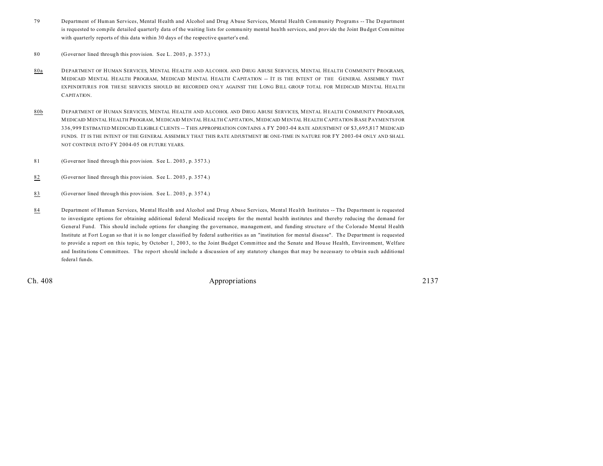- 79 Department of Human Services, Mental Health and Alcohol and Drug Abuse Services, Mental Health Community Programs -- The D epartment is requested to compile detailed quarterly data of the waiting lists for community mental health services, and provide the Joint Budget Committee with quarterly reports of this data within 30 days of the respective quarter's end.
- 80 (Governor lined through this provision. See L. 20 03 , p. 357 3.)
- 80a DEPARTMENT OF HUMAN SERVICES, MENTAL HEALTH AND ALCOHOL AND DRUG ABUSE SERVICES, MENTAL HEALTH COMMUNITY PROGRAMS, MEDICAID MENTAL HEALTH PROGRAM, MEDICAID MENTAL HEALTH CAPITATION -- IT IS THE INTENT OF THE GENERAL ASSEMBLY THAT EXPENDITURES FOR THESE SERVICES SHOULD BE RECORDED ONLY AGAINST THE LONG BILL GROUP TOTAL FOR MEDICAID MENTAL HEALTH CAPITATION.
- 80b DEPARTMENT OF HUMAN SERVICES, MENTAL HEALTH AND ALCOHOL AND DRUG ABUSE SERVICES, MENTAL HEALTH COMMUNITY PROGRAMS, MEDICAID MENTAL HEALTH PROGRAM, MEDICAID MENTAL HEALTH CAPITATION, MEDICAID MENTAL HEALTH CAPITATION BASE PAYMENTS FOR 336,999 ESTIMATED MEDICAID ELIGIBLE CLIENTS -- THIS APPROPRIATION CONTAINS A FY 2003-04 RATE ADJUSTMENT OF \$3,695,817 MEDICAID FUNDS. IT IS THE INTENT OF THE GENERAL ASSEMBLY THAT THIS RATE ADJUSTMENT BE ONE-TIME IN NATURE FOR FY 2003-04 ONLY AND SHALL NOT CONTINUE INTO FY 2004-05 OR FUTURE YEARS.
- 81 (Governor lined through this provision. See L. 20 03 , p. 357 3.)
- 82 (Governor lined through this provision. See L. 20 03 , p. 357 4.)
- 83 (Governor lined through this provision. See L. 20 03 , p. 357 4.)
- 84 Department of Human Services, Mental Health and Alcohol and Drug Abuse Services, Mental Health Institutes -- The Department is requested to investigate options for obtaining additional federal Medicaid receipts for the mental health institutes and thereby reducing the demand for General Fund. This should include options for changing the governance, management, and funding structure of the Colorado Mental Health Institute at Fort Logan so that it is no longer classified by federal a uthorities as an "institution for mental disea se". The Department is requested to provide a report on this topic, by October 1, 2003, to the Joint Budget Committee and the Senate and House Health, Environment, Welfare and Institutions Committees. The report should include a discussion of any statutory changes that may be necessary to obtain such additional federal funds.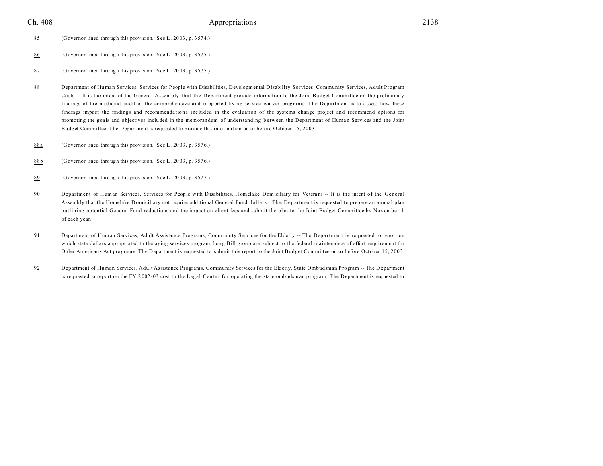## Ch. 408 2138 **Appropriations** 2138

- 85 (Governor lined through this provision. See L. 20 03 , p. 357 4.)
- 86 (Governor lined through this provision. See L. 20 03 , p. 357 5.)
- 87 (Governor lined through this provision. See L. 20 03 , p. 357 5.)
- 88 Department of Human Services, Services for People with Disabilities, Developmental Disability Services, Community Services, Adult Program Costs -- It is the intent of the General Assembly that the Department provide information to the Joint Budget Committee on the preliminary findings of the medicaid audit of the comprehensive and supported living service waiver programs. The Department is to a ssess how these findings impact the findings and recommendations included in the evaluation of the systems change project and recommend options for promoting the goals and objectives included in the memorandum of understanding between the Department of Human Services and the Joint Budget Committee. The Department is requested to provide this information on or before October 15, 2003.
- 88a (Governor lined through this provision. See L. 20 03 , p. 357 6.)
- 88b (Governor lined through this provision. See L. 20 03 , p. 357 6.)
- 89 (Governor lined through this provision. See L. 20 03 , p. 357 7.)
- 90 Department of Human Services, Services for People with Disabilities, Homelake Domiciliary for Veterans -- It is the intent of the General Assembly that the Homelake Domiciliary not require additional General Fund dollars. The Department is requested to prepare an annual plan outlining potential General Fund reductions and the impact on client fees and submit the plan to the Joint Budget Committee by November 1 of each year.
- 91 Department of Human Services, Adult Assistance Programs, Community Services for the Elderly -- The Department is requested to report on which state dollars appropriated to the aging services program Long Bill group are subject to the federal maintenance of effort requirement for Older Americans Act programs. The Department is requested to submit this report to the Joint Budget Committee on or before October 15, 2003.
- 92 Department of Human Services, Adult Assistance Programs, Community Services for the Elderly, State Ombudsman Program -- The D epartment is requested to report on the FY 2002-03 cost to the Legal Center for operating the state ombudsman program. The Department is requested to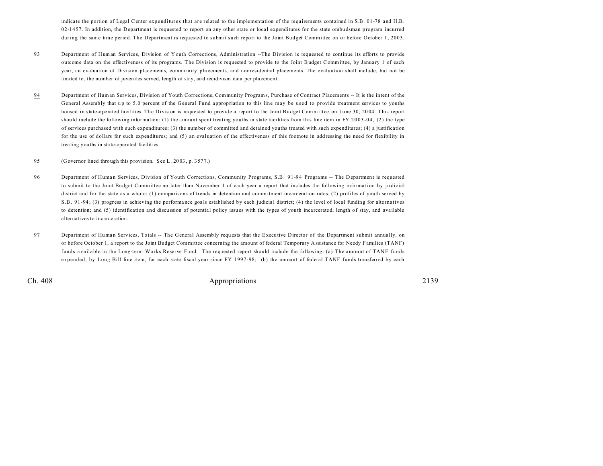indicate the portion of Legal Center expenditures that are related to the implementation of the requirements contained in S.B. 01-78 and H.B. 02-1457. In addition, the Department is requested to report on any other state or local expenditures for the state ombudsman program incurred during the same time period. The Department is requested to submit such report to the Joint Budget Committee on or before October 1, 2003.

- 93 Department of Human Services, Division of Youth Corrections, Administration --The Division is requested to continue its efforts to provide outcome data on the effectiveness of its programs. The Division is requested to provide to the Joint Budget Committee, by Janua ry 1 of each year, an evaluation of Division placements, commu nity pla cements, and nonresidential placements. The evaluation shall include, but not be limited to, the number of juveniles served, length of stay, and recidivism data per pla cement.
- 94 Department of Human Services, Division of Youth Corrections, Community Programs, Purchase of Contract Placements -- It is the intent of the General Assembly that up to 5.0 percent of the General Fund appropriation to this line may be used to provide treatment services to youths housed in state-operated facilities. The Division is requested to provide a report to the Joint Budget Committee on June 30, 2004. This report should include the following information: (1) the amount spent treating youths in state facilities from this line item in FY 2003-04, (2) the type of services purchased with such expenditures; (3) the number of committed and detained youths treated with such expenditures; (4) a justification for the use of dollars for such expenditures; and (5) an evaluation of the effectiveness of this footnote in addressing the need for flexibility in trea ting youths in sta te-oper ated facilities.

#### 95 (Governor lined through this provision. See L. 20 03 , p. 357 7.)

- 96 Department of Human Services, Division of Youth Corrections, Community Programs, S.B. 91-94 Programs -- The Department is requested to submit to the Joint Budget Committee no later than November 1 of each year a report that includes the following informa tion by ju dicial district and for the state as a whole: (1) comparisons of trends in detention and commitment incarceration rates; (2) profiles of youth served by S .B . 91-94 ; (3) progress in achieving the performa nce goa ls established by each judicia l district; (4) the level of loca l funding for alternatives to detention; and (5) identification and discussion of potential policy issues with the types of youth incarcerated, length of stay, and available alternatives to incarceration.
- 97 Department of Human Services, Totals -- The General Assembly requests that the Executive Director of the Department submit annually, on or before October 1, a report to the Joint Budget Committee concerning the amount of federal Temporary Assistance for Needy Families (TANF) funds available in the Long-term Works Reserve Fund. The requested report should include the following: (a) The amount of TANF funds expended, by Long Bill line item, for each state fiscal year since FY 1997-98; (b) the amount of federal TANF funds transferred by each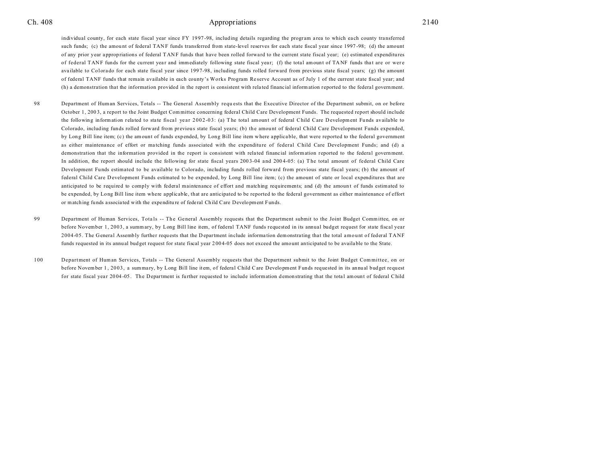## Ch. 408 2140

individual county, for each state fiscal year since FY 1997-98, including details regarding the program area to which each county transferred such funds; (c) the amount of federal TANF funds transferred from state-level reserves for each state fiscal year since 1997-98; (d) the amount of any prior year a ppropriations of federal T ANF funds that have been rolled forwa rd to the current state fiscal year; (e) estimated expenditures of federal TANF funds for the current year and immediately following state fiscal year; (f) the total amount of TANF funds that are or were available to Colorado for each state fiscal year since 1997-98, including funds rolled forward from previous state fiscal years; (g) the amount of federal TANF funds that remain available in each county's Works Program Re serve Account as of July 1 of the current state fiscal year; and (h) a demonstration that the information provided in the report is consistent with rela ted financial information r eported to the federal government.

- 98 Department of Human Services, Totals -- The General Assembly requests that the Executive Director of the Department submit, on or before October 1, 200 3, a report to the Joint Budget Committee concerning federal Child Care Development Funds. The requested report should include the following information related to state fiscal year 2002-03: (a) The total amount of federal Child Care D evelopment Funds available to Colorado, including funds rolled forward from previous state fiscal years; (b) the amount of federal Child Care Development Funds expended, by Long Bill line item; (c) the amount of funds expended, by Long Bill line item where applicable, that were reported to the federal government as either maintenance of effort or ma tching funds associated with the expenditure of federal Child Care Development Funds; and (d) a demonstration that the information provided in the report is consistent with rela ted financial information r eported to the federal government. In addition, the report should include the following for state fiscal years 2003-04 and 2004-05: (a) The total amount of federal Child Care Development Funds estimated to be available to Colorado, including funds rolled forward from previous state fiscal years; (b) the amount of federal Child Care D evelopment Funds estimated to be expended, by Long Bill line item; (c) the amount of state or local expenditures that are anticipated to be required to comply with federal maintenance of effort and matching requirements; and (d) the amoun t of funds estimated to be expended, by Long Bill line item where applicable, that are anticipated to be reported to the federal government as either maintenance of effort or matching fu nds a ssocia ted with the expenditu re of federal Child Care Development Funds.
- 99 Department of Human Services, Totals -- The General Assembly requests that the Department submit to the Joint Budget Committee, on or before November 1, 2003, a summary, by Long Bill line item, of federal TANF funds requested in its annual budget request for state fiscal year 2004-05. The General Assembly further requests that the Department include information demonstrating that the total amount of federal TANF funds requested in its annual budget request for state fiscal year 2 00 4-05 does not exceed the amount anticipated to be available to the State.
- 100 Department of Human Services, Totals -- The General Assembly requests that the Department submit to the Joint Budget Committee, on or before November 1, 2003, a summary, by Long Bill line item, of federal Child Care Development Funds requested in its annual budget request for state fiscal year 2004-05. The Department is further requested to include information demonstrating that the total amount of federal Child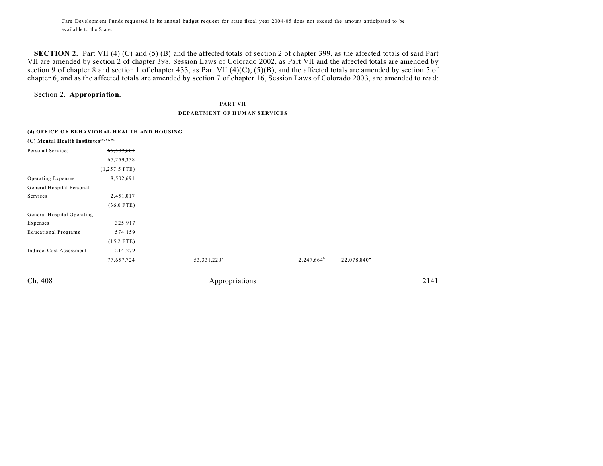Care Development Funds requested in its annual budget request for state fiscal year 2004-05 does not exceed the amount anticipated to be availa ble to the State.

**SECTION 2.** Part VII (4) (C) and (5) (B) and the affected totals of section 2 of chapter 399, as the affected totals of said Part VII are amended by section 2 of chapter 398, Session Laws of Colorado 2002, as Part VII and the affected totals are amended by section 9 of chapter 8 and section 1 of chapter 433, as Part VII (4)(C), (5)(B), and the affected totals are amended by section 5 of chapter 6, and as the affected totals are amended by section 7 of chapter 16, Session Laws of Colorado 2003, are amended to read:

## Section 2. **Appropriation.**

**PART VII**

## **DEPARTMENT OF H UM AN SERVICES**

| (4) OFFICE OF BEHAVIORAL HEALTH AND HOUSING        |  |
|----------------------------------------------------|--|
| (C) Mental Health Institutes <sup>89, 90, 91</sup> |  |

| $\cdot$ $\cdot$                 |                 |               |                                     |
|---------------------------------|-----------------|---------------|-------------------------------------|
| Personal Services               | 65,589,661      |               |                                     |
|                                 | 67,259,358      |               |                                     |
|                                 | $(1,257.5$ FTE) |               |                                     |
| Operating Expenses              | 8,502,691       |               |                                     |
| General Hospital Personal       |                 |               |                                     |
| Services                        | 2,451,017       |               |                                     |
|                                 | $(36.0$ FTE)    |               |                                     |
| General Hospital Operating      |                 |               |                                     |
| Expenses                        | 325,917         |               |                                     |
| <b>Educational Programs</b>     | 574,159         |               |                                     |
|                                 | $(15.2$ FTE)    |               |                                     |
| <b>Indirect Cost Assessment</b> | 214,279         |               |                                     |
|                                 | 77,657,724      | 53, 331, 220° | $2,247,664^b$<br>$22,078,840^\circ$ |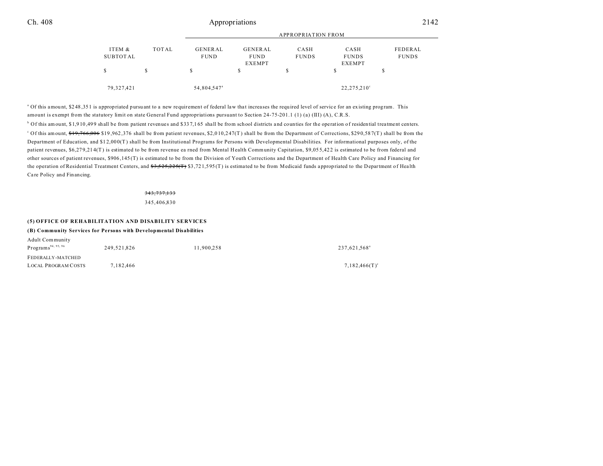## Ch. 408 2142

|                    |       | <b>APPROPRIATION FROM</b> |                        |                      |                      |                         |  |
|--------------------|-------|---------------------------|------------------------|----------------------|----------------------|-------------------------|--|
| ITEM &<br>SUBTOTAL | TOTAL | GENERAL<br><b>FUND</b>    | GENERAL<br><b>FUND</b> | CASH<br><b>FUNDS</b> | CASH<br><b>FUNDS</b> | FEDERAL<br><b>FUNDS</b> |  |
| \$                 | S     |                           | <b>EXEMPT</b><br>\$    | S                    | <b>EXEMPT</b><br>S   |                         |  |
| 79,327,421         |       | 54,804,547 <sup>a</sup>   |                        |                      | $22,275,210^{\circ}$ |                         |  |

<sup>a</sup> Of this amount, \$248,351 is appropriated pursuant to a new requirement of federal law that increases the required level of service for an existing program. This amount is exempt from the statutory limit on state General Fund appropriations pursuant to Section 24-75-201.1 (1) (a) (III) (A), C.R.S.

b Of this amount, \$1,9 10 ,49 9 shall be from patient revenues and \$33 7,1 65 shall be from school districts a nd counties for the operation of residential treatment centers. <sup>c</sup> Of this amount, <del>\$19,766,006</del> \$19,962,376 shall be from patient revenues, \$2,010,247(T) shall be from the Department of Corrections, \$290,587(T) shall be from the Department of Education, and \$1 2,00 0(T) shall be from Institutional Programs for Persons with Developmental Disabilities. For informational purposes only, of the patient revenues, \$6,27 9,21 4(T) is estimated to be from revenue ea rned from Mental Health Community Capitation, \$9,05 5,42 2 is estimated to be from federal and other sources of patient revenues, \$906 ,145 (T) is estimated to be from the Division of Youth Corrections and the Department of Health Care Policy and Financing for the operation of Residential Treatment Centers, and  $33,525,225$ (T) \$3,721,595(T) is estimated to be from Medicaid funds appropriated to the Department of Health Ca re Policy and Financing.

#### 343,737,133

345,406,830

## **(5) OFFICE OF REHABILITATION AND DISABILITY SERVICES**

#### **(B) Community Services for Persons with Developmental Disabilities**

| Adult Community                |             |            |                          |
|--------------------------------|-------------|------------|--------------------------|
| Programs <sup>94, 95, 96</sup> | 249.521.826 | 11.900.258 | 237,621,568 <sup>ª</sup> |
| FEDERALLY-MATCHED              |             |            |                          |
| <b>LOCAL PROGRAM COSTS</b>     | 7.182.466   |            | $7,182,466(T)^c$         |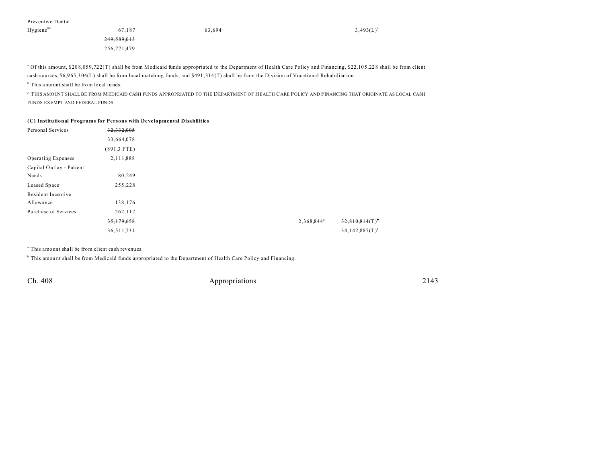| Preventive Dental |  |
|-------------------|--|
|-------------------|--|

| Hygiene <sup>98</sup> | 67.187                 | 63,694 | $3,493(L)^t$ |
|-----------------------|------------------------|--------|--------------|
|                       | <del>249,589,013</del> |        |              |
|                       | 256,771,479            |        |              |

<sup>a</sup> Of this amount, \$208,059,722(T) shall be from Medicaid funds appropriated to the Department of Health Care Policy and Financing, \$22,105,228 shall be from client cash sources, \$6,9 65,3 04(L) shall be from local matching funds, and \$491 ,314 (T) shall be from the Division of Vocational Rehabilitation.

<sup>b</sup> This amount shall be from local funds.

 $^{\rm c}$  THIS AMOUNT SHALL BE FROM MEDICAID CASH FUNDS APPROPRIATED TO THE DEPARTMENT OF HEALTH CARE POLICY AND FINANCING THAT ORIGINATE AS LOCAL CASH FUNDS EXEMPT AND FEDERAL FUNDS.

## **(C) Institutional Programs for Persons with Developmental Disabilities**

| Personal Services         | 32,332,005    |
|---------------------------|---------------|
|                           | 33,664,078    |
|                           | $(891.3$ FTE) |
| <b>Operating Expenses</b> | 2,111,888     |
| Capital Outlay - Patient  |               |
| Needs                     | 80,249        |
| Leased Space              | 255,228       |
| Resident Incentive        |               |
| Allowance                 | 138,176       |
| Purchase of Services      | 262,112       |
|                           | 35,179,658    |
|                           | 36,511,731    |

a This amount shall be from client ca sh revenues.

<sup>b</sup> This amount shall be from Medicaid funds appropriated to the Department of Health Care Policy and Financing.